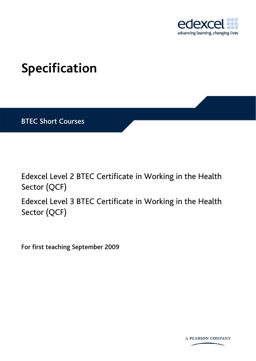

## <span id="page-0-0"></span>**Specification**

BTEC Short Courses

Edexcel Level 2 [BTEC Certificate](#page-0-0) in [Working in the Health](#page-0-0)  [Sector](#page-0-0) (QCF) Edexcel Level 3 [BTEC Certificate](#page-0-0) in [Working in the Health](#page-0-0) 

[Sector](#page-0-0) (QCF)

For first teaching September 2009

**A PEARSON COMPANY**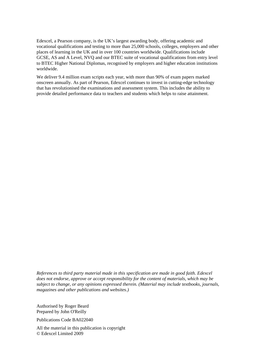Edexcel, a Pearson company, is the UK's largest awarding body, offering academic and vocational qualifications and testing to more than 25,000 schools, colleges, employers and other places of learning in the UK and in over 100 countries worldwide. Qualifications include GCSE, AS and A Level, NVQ and our BTEC suite of vocational qualifications from entry level to BTEC Higher National Diplomas, recognised by employers and higher education institutions worldwide.

We deliver 9.4 million exam scripts each year, with more than 90% of exam papers marked onscreen annually. As part of Pearson, Edexcel continues to invest in cutting-edge technology that has revolutionised the examinations and assessment system. This includes the ability to provide detailed performance data to teachers and students which helps to raise attainment.

*References to third party material made in this specification are made in good faith. Edexcel does not endorse, approve or accept responsibility for the content of materials, which may be subject to change, or any opinions expressed therein. (Material may include textbooks, journals, magazines and other publications and websites.)*

Authorised by Roger Beard Prepared by [John O'Reilly](#page-0-0)

Publications Code [BA022040](#page-0-0) 

All the material in this publication is copyright © Edexcel Limited 2009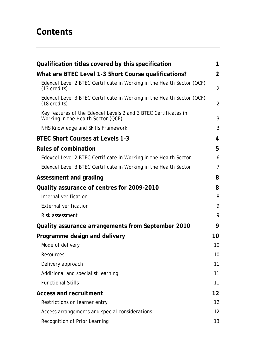## **Contents**

| Qualification titles covered by this specification                                                    | 1                 |
|-------------------------------------------------------------------------------------------------------|-------------------|
| What are BTEC Level 1-3 Short Course qualifications?                                                  | 2                 |
| Edexcel Level 2 BTEC Certificate in Working in the Health Sector (QCF)<br>$(13 \text{ credits})$      | $\overline{2}$    |
| Edexcel Level 3 BTEC Certificate in Working in the Health Sector (QCF)<br>$(18 \text{ credits})$      | $\overline{2}$    |
| Key features of the Edexcel Levels 2 and 3 BTEC Certificates in<br>Working in the Health Sector (QCF) | 3                 |
| NHS Knowledge and Skills Framework                                                                    | 3                 |
| <b>BTEC Short Courses at Levels 1-3</b>                                                               | 4                 |
| <b>Rules of combination</b>                                                                           | 5                 |
| Edexcel Level 2 BTEC Certificate in Working in the Health Sector                                      | 6                 |
| Edexcel Level 3 BTEC Certificate in Working in the Health Sector                                      | $\overline{7}$    |
| Assessment and grading                                                                                | 8                 |
| Quality assurance of centres for 2009-2010                                                            | 8                 |
| Internal verification                                                                                 | 8                 |
| <b>External verification</b>                                                                          | 9                 |
| Risk assessment                                                                                       | 9                 |
| Quality assurance arrangements from September 2010                                                    | 9                 |
| Programme design and delivery                                                                         | 10                |
| Mode of delivery                                                                                      | 10                |
| Resources                                                                                             | 10                |
| Delivery approach                                                                                     | 11                |
| Additional and specialist learning                                                                    | 11                |
| <b>Functional Skills</b>                                                                              | 11                |
| <b>Access and recruitment</b>                                                                         | $12 \overline{ }$ |
| Restrictions on learner entry                                                                         | 12 <sup>2</sup>   |
| Access arrangements and special considerations                                                        | 12 <sup>2</sup>   |
| Recognition of Prior Learning                                                                         | 13                |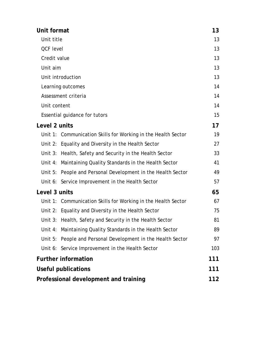| Unit format                                                       | 13  |
|-------------------------------------------------------------------|-----|
| Unit title                                                        | 13  |
| <b>QCF level</b>                                                  | 13  |
| Credit value                                                      | 13  |
| Unit aim                                                          | 13  |
| Unit introduction                                                 | 13  |
| Learning outcomes                                                 | 14  |
| Assessment criteria                                               | 14  |
| Unit content                                                      | 14  |
| Essential guidance for tutors                                     | 15  |
| Level 2 units                                                     | 17  |
| Unit 1: Communication Skills for Working in the Health Sector     | 19  |
| Unit 2: Equality and Diversity in the Health Sector               | 27  |
| Unit 3: Health, Safety and Security in the Health Sector          | 33  |
| Unit 4: Maintaining Quality Standards in the Health Sector        | 41  |
| Unit 5: People and Personal Development in the Health Sector      | 49  |
| Unit 6: Service Improvement in the Health Sector                  | 57  |
| Level 3 units                                                     | 65  |
| Unit 1: Communication Skills for Working in the Health Sector     | 67  |
| Unit 2: Equality and Diversity in the Health Sector               | 75  |
| Unit 3: Health, Safety and Security in the Health Sector          | 81  |
| Maintaining Quality Standards in the Health Sector<br>Unit $4$ :  | 89  |
| People and Personal Development in the Health Sector<br>Unit $5:$ | 97  |
| Unit 6: Service Improvement in the Health Sector                  | 103 |
| <b>Further information</b>                                        | 111 |
| Useful publications                                               | 111 |
| Professional development and training                             | 112 |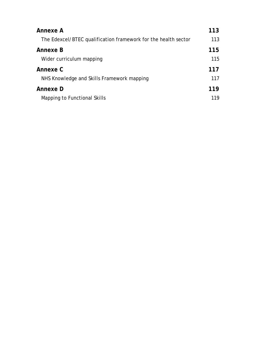| Annexe A                                                       | 113 |
|----------------------------------------------------------------|-----|
| The Edexcel/BTEC qualification framework for the health sector | 113 |
| Annexe B                                                       | 115 |
| Wider curriculum mapping                                       | 115 |
| Annexe C                                                       | 117 |
| NHS Knowledge and Skills Framework mapping                     | 117 |
| Annexe D                                                       | 119 |
| Mapping to Functional Skills                                   | 119 |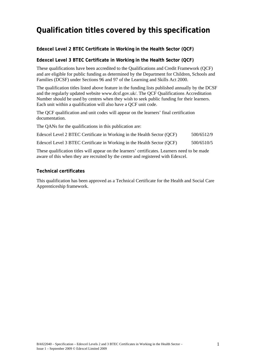## <span id="page-6-0"></span>**Qualification titles covered by this specification**

#### **Edexcel Level 2 BTEC Certificate in Working in the Health Sector (QCF)**

#### **Edexcel Level 3 BTEC Certificate in Working in the Health Sector (QCF)**

These qualifications have been accredited to the Qualifications and Credit Framework (QCF) and are eligible for public funding as determined by the Department for Children, Schools and Families (DCSF) under Sections 96 and 97 of the Learning and Skills Act 2000.

The qualification titles listed above feature in the funding lists published annually by the DCSF and the regularly updated website www.dcsf.gov.uk/. The QCF Qualifications Accreditation Number should be used by centres when they wish to seek public funding for their learners. Each unit within a qualification will also have a QCF unit code.

The QCF qualification and unit codes will appear on the learners' final certification documentation.

The QANs for the qualifications in this publication are:

Edexcel Level 2 BTEC Certificate in Working in the Health Sector (QCF) 500/6512/9

Edexcel Level 3 BTEC Certificate in Working in the Health Sector (QCF) 500/6510/5

These qualification titles will appear on the learners' certificates. Learners need to be made aware of this when they are recruited by the centre and registered with Edexcel.

#### **Technical certificates**

This qualification has been approved as a Technical Certificate for the Health and Social Care Apprenticeship framework.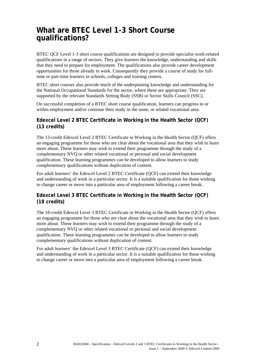## <span id="page-7-0"></span>**What are BTEC Level 1-3 Short Course qualifications?**

BTEC QCF Level 1-3 short course qualifications are designed to provide specialist work-related qualifications in a range of sectors. They give learners the knowledge, understanding and skills that they need to prepare for employment. The qualifications also provide career development opportunities for those already in work. Consequently they provide a course of study for fulltime or part-time learners in schools, colleges and training centres.

BTEC short courses also provide much of the underpinning knowledge and understanding for the National Occupational Standards for the sector, where these are appropriate. They are supported by the relevant Standards Setting Body (SSB) or Sector Skills Council (SSC).

On successful completion of a BTEC short course qualification, learners can progress to or within employment and/or continue their study in the same, or related vocational area.

#### **Edexcel Level 2 BTEC Certificate in Working in the Health Sector (QCF) (13 credits)**

The 13-credit Edexcel Level 2 BTEC Certificate in Working in the Health Sector (QCF) offers an engaging programme for those who are clear about the vocational area that they wish to learn more about. These learners may wish to extend their programme through the study of a complementary NVQ or other related vocational or personal and social development qualification. These learning programmes can be developed to allow learners to study complementary qualifications without duplication of content.

For adult learners' the Edexcel Level 2 BTEC Certificate (QCF) can extend their knowledge and understanding of work in a particular sector. It is a suitable qualification for those wishing to change career or move into a particular area of employment following a career break.

#### **Edexcel Level 3 BTEC Certificate in Working in the Health Sector (QCF) (18 credits)**

The 18-credit Edexcel Level 3 BTEC Certificate in Working in the Health Sector (QCF) offers an engaging programme for those who are clear about the vocational area that they wish to learn more about. These learners may wish to extend their programme through the study of a complementary NVQ or other related vocational or personal and social development qualification. These learning programmes can be developed to allow learners to study complementary qualifications without duplication of content.

For adult learners' the Edexcel Level 3 BTEC Certificate (QCF) can extend their knowledge and understanding of work in a particular sector. It is a suitable qualification for those wishing to change career or move into a particular area of employment following a career break.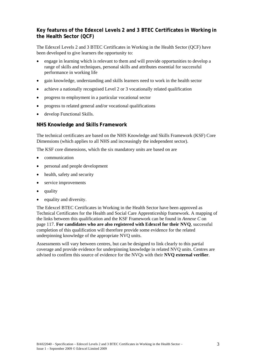#### <span id="page-8-0"></span>**Key features of the Edexcel Levels 2 and 3 BTEC Certificates in Working in the Health Sector (QCF)**

The Edexcel Levels 2 and 3 BTEC Certificates in Working in the Health Sector (QCF) have been developed to give learners the opportunity to:

- engage in learning which is relevant to them and will provide opportunities to develop a range of skills and techniques, personal skills and attributes essential for successful performance in working life
- gain knowledge, understanding and skills learners need to work in the health sector
- achieve a nationally recognised Level 2 or 3 vocationally related qualification
- progress to employment in a particular vocational sector
- progress to related general and/or vocational qualifications
- develop Functional Skills.

#### **NHS Knowledge and Skills Framework**

The technical certificates are based on the NHS Knowledge and Skills Framework (KSF) Core Dimensions (which applies to all NHS and increasingly the independent sector).

The KSF core dimensions, which the six mandatory units are based on are

- communication
- personal and people development
- health, safety and security
- service improvements
- quality
- equality and diversity.

The Edexcel BTEC Certificates in Working in the Health Sector have been approved as Technical Certificates for the Health and Social Care Apprenticeship framework. A mapping of the links between this qualification and the KSF Framework can be found in *Annexe C* on page [117](#page-122-0). **For candidates who are also registered with Edexcel for their NVQ**, successful completion of this qualification will therefore provide some evidence for the related underpinning knowledge of the appropriate NVQ units.

Assessments will vary between centres, but can be designed to link clearly to this partial coverage and provide evidence for underpinning knowledge in related NVQ units. Centres are advised to confirm this source of evidence for the NVQs with their **NVQ external verifier**.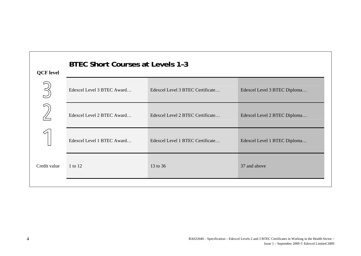<span id="page-9-0"></span>

| <b>QCF</b> level | <b>BTEC Short Courses at Levels 1-3</b> |                                  |                              |
|------------------|-----------------------------------------|----------------------------------|------------------------------|
|                  | Edexcel Level 3 BTEC Award              | Edexcel Level 3 BTEC Certificate | Edexcel Level 3 BTEC Diploma |
|                  | Edexcel Level 2 BTEC Award              | Edexcel Level 2 BTEC Certificate | Edexcel Level 2 BTEC Diploma |
|                  | Edexcel Level 1 BTEC Award              | Edexcel Level 1 BTEC Certificate | Edexcel Level 1 BTEC Diploma |
| Credit value     | 1 to 12                                 | 13 to 36                         | 37 and above                 |
|                  |                                         |                                  |                              |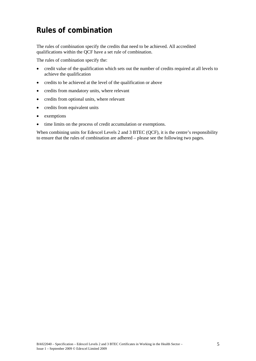## <span id="page-10-0"></span>**Rules of combination**

The rules of combination specify the credits that need to be achieved. All accredited qualifications within the QCF have a set rule of combination.

The rules of combination specify the:

- credit value of the qualification which sets out the number of credits required at all levels to achieve the qualification
- credits to be achieved at the level of the qualification or above
- credits from mandatory units, where relevant
- credits from optional units, where relevant
- credits from equivalent units
- exemptions
- time limits on the process of credit accumulation or exemptions.

When combining units for Edexcel Levels 2 and 3 BTEC (QCF), it is the centre's responsibility to ensure that the rules of combination are adhered – please see the following two pages.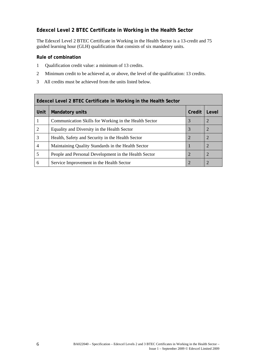#### <span id="page-11-0"></span>**Edexcel Level 2 BTEC Certificate in Working in the Health Sector**

The Edexcel Level 2 BTEC Certificate in Working in the Health Sector is a 13-credit and 75 guided learning hour (GLH) qualification that consists of six mandatory units.

#### **Rule of combination**

- 1 Qualification credit value: a minimum of 13 credits.
- 2 Minimum credit to be achieved at, or above, the level of the qualification: 13 credits.
- 3 All credits must be achieved from the units listed below.

| Edexcel Level 2 BTEC Certificate in Working in the Health Sector |                                                       |                             |                |
|------------------------------------------------------------------|-------------------------------------------------------|-----------------------------|----------------|
| <b>Unit</b>                                                      | <b>Mandatory units</b>                                | Credit                      | Level          |
| 1                                                                | Communication Skills for Working in the Health Sector | 3                           | 2              |
| 2                                                                | Equality and Diversity in the Health Sector           | 3                           | 2              |
| 3                                                                | Health, Safety and Security in the Health Sector      | $\overline{2}$              | 2              |
| $\overline{4}$                                                   | Maintaining Quality Standards in the Health Sector    |                             | 2              |
| 5                                                                | People and Personal Development in the Health Sector  | $\mathcal{D}_{\mathcal{A}}$ | $\overline{2}$ |
| 6                                                                | Service Improvement in the Health Sector              | $\mathcal{D}_{\mathcal{A}}$ | $\overline{2}$ |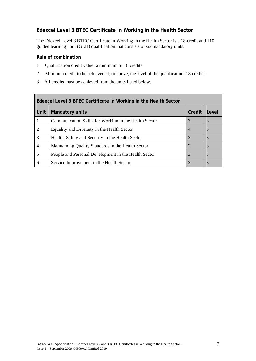#### <span id="page-12-0"></span>**Edexcel Level 3 BTEC Certificate in Working in the Health Sector**

The Edexcel Level 3 BTEC Certificate in Working in the Health Sector is a 18-credit and 110 guided learning hour (GLH) qualification that consists of six mandatory units.

#### **Rule of combination**

- 1 Qualification credit value: a minimum of 18 credits.
- 2 Minimum credit to be achieved at, or above, the level of the qualification: 18 credits.
- 3 All credits must be achieved from the units listed below.

| Edexcel Level 3 BTEC Certificate in Working in the Health Sector |                                                       |                |       |
|------------------------------------------------------------------|-------------------------------------------------------|----------------|-------|
| <b>Unit</b>                                                      | <b>Mandatory units</b>                                | Credit         | Level |
| 1                                                                | Communication Skills for Working in the Health Sector | 3              | 3     |
| 2                                                                | Equality and Diversity in the Health Sector           | $\overline{4}$ | 3     |
| 3                                                                | Health, Safety and Security in the Health Sector      | 3              | 3     |
| 4                                                                | Maintaining Quality Standards in the Health Sector    | 2              | 3     |
| 5                                                                | People and Personal Development in the Health Sector  | 3              | 3     |
| 6                                                                | Service Improvement in the Health Sector              | 3              | 3     |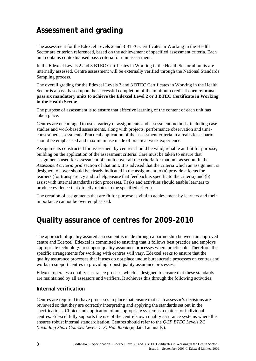## <span id="page-13-0"></span>**Assessment and grading**

The assessment for the Edexcel Levels 2 and 3 BTEC Certificates in Working in the Health Sector are criterion referenced, based on the achievement of specified assessment criteria. Each unit contains contextualised pass criteria for unit assessment.

In the Edexcel Levels 2 and 3 BTEC Certificates in Working in the Health Sector all units are internally assessed. Centre assessment will be externally verified through the National Standards Sampling process.

The overall grading for the Edexcel Levels 2 and 3 BTEC Certificates in Working in the Health Sector is a pass, based upon the successful completion of the minimum credit. **Learners must pass six mandatory units to achieve the Edexcel Level 2 or 3 BTEC Certificate in Working in the Health Sector**.

The purpose of assessment is to ensure that effective learning of the content of each unit has taken place.

Centres are encouraged to use a variety of assignments and assessment methods, including case studies and work-based assessments, along with projects, performance observation and timeconstrained assessments. Practical application of the assessment criteria in a realistic scenario should be emphasised and maximum use made of practical work experience.

Assignments constructed for assessment by centres should be valid, reliable and fit for purpose, building on the application of the assessment criteria. Care must be taken to ensure that assignments used for assessment of a unit cover all the criteria for that unit as set out in the *Assessment criteria grid* section of that unit. It is advised that the criteria which an assignment is designed to cover should be clearly indicated in the assignment to (a) provide a focus for learners (for transparency and to help ensure that feedback is specific to the criteria) and (b) assist with internal standardisation processes. Tasks and activities should enable learners to produce evidence that directly relates to the specified criteria.

The creation of assignments that are fit for purpose is vital to achievement by learners and their importance cannot be over emphasised.

## **Quality assurance of centres for 2009-2010**

The approach of quality assured assessment is made through a partnership between an approved centre and Edexcel. Edexcel is committed to ensuring that it follows best practice and employs appropriate technology to support quality assurance processes where practicable. Therefore, the specific arrangements for working with centres will vary. Edexcel seeks to ensure that the quality assurance processes that it uses do not place undue bureaucratic processes on centres and works to support centres in providing robust quality assurance processes.

Edexcel operates a quality assurance process, which is designed to ensure that these standards are maintained by all assessors and verifiers. It achieves this through the following activities:

#### **Internal verification**

Centres are required to have processes in place that ensure that each assessor's decisions are reviewed so that they are correctly interpreting and applying the standards set out in the specifications. Choice and application of an appropriate system is a matter for individual centres. Edexcel fully supports the use of the centre's own quality assurance systems where this ensures robust internal standardisation. Centres should refer to the *QCF BTEC Levels 2/3 (including Short Courses Levels 1–3) Handbook* (updated annually).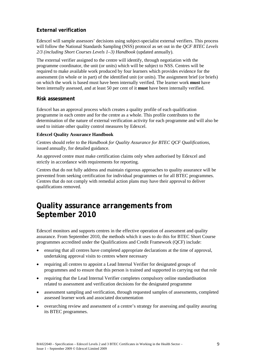#### <span id="page-14-0"></span>**External verification**

Edexcel will sample assessors' decisions using subject-specialist external verifiers. This process will follow the National Standards Sampling (NSS) protocol as set out in the *QCF BTEC Levels 2/3 (including Short Courses Levels 1–3) Handbook* (updated annually).

The external verifier assigned to the centre will identify, through negotiation with the programme coordinator, the unit (or units) which will be subject to NSS. Centres will be required to make available work produced by four learners which provides evidence for the assessment (in whole or in part) of the identified unit (or units). The assignment brief (or briefs) on which the work is based must have been internally verified. The learner work **must** have been internally assessed, and at least 50 per cent of it **must** have been internally verified.

#### **Risk assessment**

Edexcel has an approval process which creates a quality profile of each qualification programme in each centre and for the centre as a whole. This profile contributes to the determination of the nature of external verification activity for each programme and will also be used to initiate other quality control measures by Edexcel.

#### **Edexcel Quality Assurance Handbook**

Centres should refer to the *Handbook for Quality Assurance for BTEC QCF Qualifications*, issued annually, for detailed guidance.

An approved centre must make certification claims only when authorised by Edexcel and strictly in accordance with requirements for reporting.

Centres that do not fully address and maintain rigorous approaches to quality assurance will be prevented from seeking certification for individual programmes or for all BTEC programmes. Centres that do not comply with remedial action plans may have their approval to deliver qualifications removed.

## **Quality assurance arrangements from September 2010**

Edexcel monitors and supports centres in the effective operation of assessment and quality assurance. From September 2010, the methods which it uses to do this for BTEC Short Course programmes accredited under the Qualifications and Credit Framework (QCF) include:

- ensuring that all centres have completed appropriate declarations at the time of approval, undertaking approval visits to centres where necessary
- requiring all centres to appoint a Lead Internal Verifier for designated groups of programmes and to ensure that this person is trained and supported in carrying out that role
- requiring that the Lead Internal Verifier completes compulsory online standardisation related to assessment and verification decisions for the designated programme
- assessment sampling and verification, through requested samples of assessments, completed assessed learner work and associated documentation
- overarching review and assessment of a centre's strategy for assessing and quality assuring its BTEC programmes.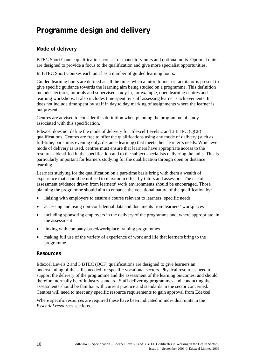## <span id="page-15-0"></span>**Programme design and delivery**

#### **Mode of delivery**

BTEC Short Course qualifications consist of mandatory units and optional units. Optional units are designed to provide a focus to the qualification and give more specialist opportunities.

In BTEC Short Courses each unit has a number of guided learning hours.

Guided learning hours are defined as all the times when a tutor, trainer or facilitator is present to give specific guidance towards the learning aim being studied on a programme. This definition includes lectures, tutorials and supervised study in, for example, open learning centres and learning workshops. It also includes time spent by staff assessing learner's achievements. It does not include time spent by staff in day to day marking of assignments where the learner is not present.

Centres are advised to consider this definition when planning the programme of study associated with this specification.

Edexcel does not define the mode of delivery for Edexcel Levels 2 and 3 BTEC (QCF) qualifications. Centres are free to offer the qualifications using any mode of delivery (such as full-time, part-time, evening only, distance learning) that meets their learner's needs. Whichever mode of delivery is used, centres must ensure that learners have appropriate access to the resources identified in the specification and to the subject specialists delivering the units. This is particularly important for learners studying for the qualification through open or distance learning.

Learners studying for the qualification on a part-time basis bring with them a wealth of experience that should be utilised to maximum effect by tutors and assessors. The use of assessment evidence drawn from learners' work environments should be encouraged. Those planning the programme should aim to enhance the vocational nature of the qualification by:

- liaising with employers to ensure a course relevant to learners' specific needs
- accessing and using non-confidential data and documents from learners' workplaces
- including sponsoring employers in the delivery of the programme and, where appropriate, in the assessment
- linking with company-based/workplace training programmes
- making full use of the variety of experience of work and life that learners bring to the programme.

#### **Resources**

Edexcel Levels 2 and 3 BTEC (QCF) qualifications are designed to give learners an understanding of the skills needed for specific vocational sectors. Physical resources need to support the delivery of the programme and the assessment of the learning outcomes, and should therefore normally be of industry standard. Staff delivering programmes and conducting the assessments should be familiar with current practice and standards in the sector concerned. Centres will need to meet any specific resource requirements to gain approval from Edexcel.

Where specific resources are required these have been indicated in individual units in the *Essential resources* sections.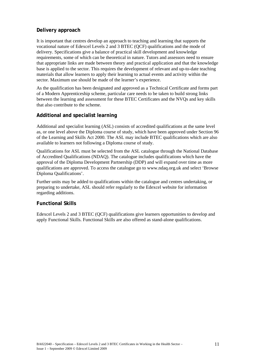#### <span id="page-16-0"></span>**Delivery approach**

It is important that centres develop an approach to teaching and learning that supports the vocational nature of Edexcel Levels 2 and 3 BTEC (QCF) qualifications and the mode of delivery. Specifications give a balance of practical skill development and knowledge requirements, some of which can be theoretical in nature. Tutors and assessors need to ensure that appropriate links are made between theory and practical application and that the knowledge base is applied to the sector. This requires the development of relevant and up-to-date teaching materials that allow learners to apply their learning to actual events and activity within the sector. Maximum use should be made of the learner's experience.

As the qualification has been designated and approved as a Technical Certificate and forms part of a Modern Apprenticeship scheme, particular care needs to be taken to build strong links between the learning and assessment for these BTEC Certificates and the NVQs and key skills that also contribute to the scheme.

#### **Additional and specialist learning**

Additional and specialist learning (ASL) consists of accredited qualifications at the same level as, or one level above the Diploma course of study, which have been approved under Section 96 of the Learning and Skills Act 2000. The ASL may include BTEC qualifications which are also available to learners not following a Diploma course of study.

Qualifications for ASL must be selected from the ASL catalogue through the National Database of Accredited Qualifications (NDAQ). The catalogue includes qualifications which have the approval of the Diploma Development Partnership (DDP) and will expand over time as more qualifications are approved. To access the catalogue go to www.ndaq.org.uk and select 'Browse Diploma Qualifications'.

Further units may be added to qualifications within the catalogue and centres undertaking, or preparing to undertake, ASL should refer regularly to the Edexcel website for information regarding additions.

#### **Functional Skills**

Edexcel Levels 2 and 3 BTEC (QCF) qualifications give learners opportunities to develop and apply Functional Skills. Functional Skills are also offered as stand-alone qualifications.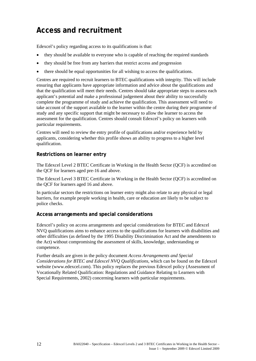## <span id="page-17-0"></span>**Access and recruitment**

Edexcel's policy regarding access to its qualifications is that:

- they should be available to everyone who is capable of reaching the required standards
- they should be free from any barriers that restrict access and progression
- there should be equal opportunities for all wishing to access the qualifications.

Centres are required to recruit learners to BTEC qualifications with integrity. This will include ensuring that applicants have appropriate information and advice about the qualifications and that the qualification will meet their needs. Centres should take appropriate steps to assess each applicant's potential and make a professional judgement about their ability to successfully complete the programme of study and achieve the qualification. This assessment will need to take account of the support available to the learner within the centre during their programme of study and any specific support that might be necessary to allow the learner to access the assessment for the qualification*.* Centres should consult Edexcel's policy on learners with particular requirements.

Centres will need to review the entry profile of qualifications and/or experience held by applicants, considering whether this profile shows an ability to progress to a higher level qualification.

#### **Restrictions on learner entry**

The Edexcel Level 2 BTEC Certificate in Working in the Health Sector (QCF) is accredited on the QCF for learners aged pre-16 and above.

The Edexcel Level 3 BTEC Certificate in Working in the Health Sector (QCF) is accredited on the QCF for learners aged 16 and above.

In particular sectors the restrictions on learner entry might also relate to any physical or legal barriers, for example people working in health, care or education are likely to be subject to police checks.

#### **Access arrangements and special considerations**

Edexcel's policy on access arrangements and special considerations for BTEC and Edexcel NVQ qualifications aims to enhance access to the qualifications for learners with disabilities and other difficulties (as defined by the 1995 Disability Discrimination Act and the amendments to the Act) without compromising the assessment of skills, knowledge, understanding or competence.

Further details are given in the policy document *Access Arrangements and Special Considerations for BTEC and Edexcel NVQ Qualifications*, which can be found on the Edexcel website [\(www.edexcel.com\)](http://www.edexcel.com/). This policy replaces the previous Edexcel policy (Assessment of Vocationally Related Qualification: Regulations and Guidance Relating to Learners with Special Requirements, 2002) concerning learners with particular requirements.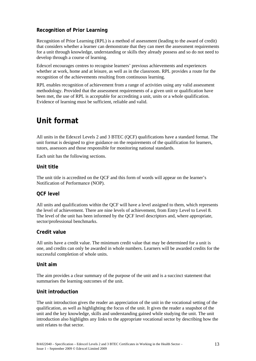#### <span id="page-18-0"></span>**Recognition of Prior Learning**

Recognition of Prior Learning (RPL) is a method of assessment (leading to the award of credit) that considers whether a learner can demonstrate that they can meet the assessment requirements for a unit through knowledge, understanding or skills they already possess and so do not need to develop through a course of learning.

Edexcel encourages centres to recognise learners' previous achievements and experiences whether at work, home and at leisure, as well as in the classroom. RPL provides a route for the recognition of the achievements resulting from continuous learning.

RPL enables recognition of achievement from a range of activities using any valid assessment methodology. Provided that the assessment requirements of a given unit or qualification have been met, the use of RPL is acceptable for accrediting a unit, units or a whole qualification. Evidence of learning must be sufficient, reliable and valid.

## **Unit format**

All units in the Edexcel Levels 2 and 3 BTEC (QCF) qualifications have a standard format. The unit format is designed to give guidance on the requirements of the qualification for learners, tutors, assessors and those responsible for monitoring national standards.

Each unit has the following sections.

#### **Unit title**

The unit title is accredited on the QCF and this form of words will appear on the learner's Notification of Performance (NOP).

#### **QCF level**

All units and qualifications within the QCF will have a level assigned to them, which represents the level of achievement. There are nine levels of achievement, from Entry Level to Level 8. The level of the unit has been informed by the QCF level descriptors and, where appropriate, sector/professional benchmarks.

#### **Credit value**

All units have a credit value. The minimum credit value that may be determined for a unit is one, and credits can only be awarded in whole numbers. Learners will be awarded credits for the successful completion of whole units.

#### **Unit aim**

The aim provides a clear summary of the purpose of the unit and is a succinct statement that summarises the learning outcomes of the unit.

#### **Unit introduction**

The unit introduction gives the reader an appreciation of the unit in the vocational setting of the qualification, as well as highlighting the focus of the unit. It gives the reader a snapshot of the unit and the key knowledge, skills and understanding gained while studying the unit. The unit introduction also highlights any links to the appropriate vocational sector by describing how the unit relates to that sector.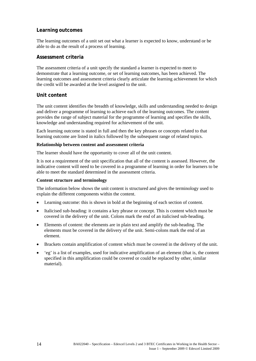#### <span id="page-19-0"></span>**Learning outcomes**

The learning outcomes of a unit set out what a learner is expected to know, understand or be able to do as the result of a process of learning.

#### **Assessment criteria**

The assessment criteria of a unit specify the standard a learner is expected to meet to demonstrate that a learning outcome, or set of learning outcomes, has been achieved. The learning outcomes and assessment criteria clearly articulate the learning achievement for which the credit will be awarded at the level assigned to the unit.

#### **Unit content**

The unit content identifies the breadth of knowledge, skills and understanding needed to design and deliver a programme of learning to achieve each of the learning outcomes. The content provides the range of subject material for the programme of learning and specifies the skills, knowledge and understanding required for achievement of the unit.

Each learning outcome is stated in full and then the key phrases or concepts related to that learning outcome are listed in italics followed by the subsequent range of related topics.

#### **Relationship between content and assessment criteria**

The learner should have the opportunity to cover all of the unit content.

It is not a requirement of the unit specification that all of the content is assessed. However, the indicative content will need to be covered in a programme of learning in order for learners to be able to meet the standard determined in the assessment criteria.

#### **Content structure and terminology**

The information below shows the unit content is structured and gives the terminology used to explain the different components within the content.

- Learning outcome: this is shown in bold at the beginning of each section of content.
- Italicised sub-heading: it contains a key phrase or concept. This is content which must be covered in the delivery of the unit. Colons mark the end of an italicised sub-heading.
- Elements of content: the elements are in plain text and amplify the sub-heading. The elements must be covered in the delivery of the unit. Semi-colons mark the end of an element.
- Brackets contain amplification of content which must be covered in the delivery of the unit.
- 'eg' is a list of examples, used for indicative amplification of an element (that is, the content specified in this amplification could be covered or could be replaced by other, similar material).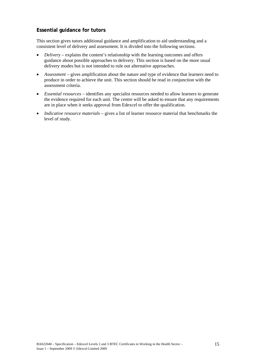#### <span id="page-20-0"></span>**Essential guidance for tutors**

This section gives tutors additional guidance and amplification to aid understanding and a consistent level of delivery and assessment. It is divided into the following sections.

- *Delivery* explains the content's relationship with the learning outcomes and offers guidance about possible approaches to delivery. This section is based on the more usual delivery modes but is not intended to rule out alternative approaches.
- *Assessment* gives amplification about the nature and type of evidence that learners need to produce in order to achieve the unit. This section should be read in conjunction with the assessment criteria.
- *Essential resources* identifies any specialist resources needed to allow learners to generate the evidence required for each unit. The centre will be asked to ensure that any requirements are in place when it seeks approval from Edexcel to offer the qualification.
- *Indicative resource materials* gives a list of learner resource material that benchmarks the level of study.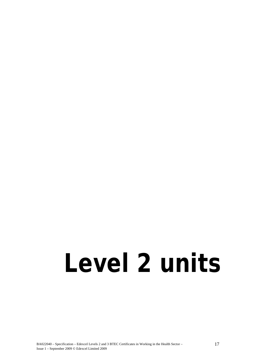# <span id="page-22-0"></span>**Level 2 units**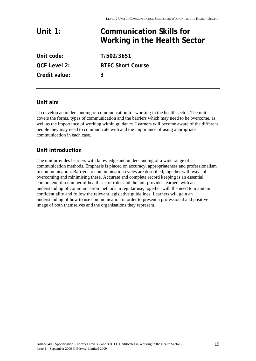## <span id="page-24-0"></span>**Unit 1: Communication Skills for Working in the Health Sector Unit code: T/502/3651**

**QCF Level 2: BTEC Short Course Credit value: 3** 

#### **Unit aim**

To develop an understanding of communication for working in the health sector. The unit covers the forms, types of communication and the barriers which may need to be overcome, as well as the importance of working within guidance. Learners will become aware of the different people they may need to communicate with and the importance of using appropriate communication in each case.

#### **Unit introduction**

The unit provides learners with knowledge and understanding of a wide range of communication methods. Emphasis is placed on accuracy, appropriateness and professionalism in communication. Barriers to communication cycles are described, together with ways of overcoming and minimising these. Accurate and complete record keeping is an essential component of a number of health sector roles and the unit provides learners with an understanding of communication methods in regular use, together with the need to maintain confidentiality and follow the relevant legislative guidelines. Learners will gain an understanding of how to use communication in order to present a professional and positive image of both themselves and the organisations they represent.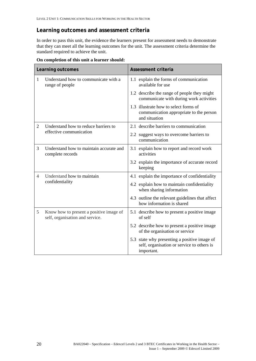#### **Learning outcomes and assessment criteria**

In order to pass this unit, the evidence the learners present for assessment needs to demonstrate that they can meet all the learning outcomes for the unit. The assessment criteria determine the standard required to achieve the unit.

| Learning outcomes |                                                                            | <b>Assessment criteria</b>                                                                               |
|-------------------|----------------------------------------------------------------------------|----------------------------------------------------------------------------------------------------------|
| 1                 | Understand how to communicate with a<br>range of people                    | 1.1 explain the forms of communication<br>available for use                                              |
|                   |                                                                            | 1.2 describe the range of people they might<br>communicate with during work activities                   |
|                   |                                                                            | 1.3 illustrate how to select forms of<br>communication appropriate to the person<br>and situation        |
| 2                 | Understand how to reduce barriers to                                       | 2.1 describe barriers to communication                                                                   |
|                   | effective communication                                                    | 2.2 suggest ways to overcome barriers to<br>communication                                                |
| 3                 | Understand how to maintain accurate and<br>complete records                | 3.1 explain how to report and record work<br>activities                                                  |
|                   |                                                                            | 3.2 explain the importance of accurate record<br>keeping                                                 |
| $\overline{4}$    | Understand how to maintain                                                 | 4.1 explain the importance of confidentiality                                                            |
|                   | confidentiality                                                            | 4.2 explain how to maintain confidentiality<br>when sharing information                                  |
|                   |                                                                            | 4.3 outline the relevant guidelines that affect<br>how information is shared                             |
| 5                 | Know how to present a positive image of<br>self, organisation and service. | 5.1 describe how to present a positive image<br>of self                                                  |
|                   |                                                                            | 5.2 describe how to present a positive image<br>of the organisation or service                           |
|                   |                                                                            | 5.3 state why presenting a positive image of<br>self, organisation or service to others is<br>important. |

**On completion of this unit a learner should:**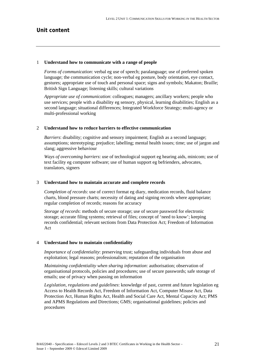#### **Unit content**

#### 1 **Understand how to communicate with a range of people**

*Forms of communication*: verbal eg use of speech; paralanguage; use of preferred spoken language; the communication cycle; non-verbal eg posture, body orientation, eye contact, gestures; appropriate use of touch and personal space; signs and symbols; Makaton; Braille; British Sign Language; listening skills; cultural variations

*Appropriate use of communication*: colleagues; managers; ancillary workers; people who use services; people with a disability eg sensory, physical, learning disabilities; English as a second language; situational differences; Integrated Workforce Strategy; multi-agency or multi-professional working

#### 2 **Understand how to reduce barriers to effective communication**

*Barriers*: disability; cognitive and sensory impairment; English as a second language; assumptions; stereotyping; prejudice; labelling; mental health issues; time; use of jargon and slang; aggressive behaviour

*Ways of overcoming barriers*: use of technological support eg hearing aids, minicom; use of text facility eg computer software; use of human support eg befrienders, advocates, translators, signers

#### 3 **Understand how to maintain accurate and complete records**

*Completion of records*: use of correct format eg diary, medication records, fluid balance charts, blood pressure charts; necessity of dating and signing records where appropriate; regular completion of records; reasons for accuracy

*Storage of records*: methods of secure storage; use of secure password for electronic storage; accurate filing systems; retrieval of files; concept of 'need to know'; keeping records confidential; relevant sections from Data Protection Act; Freedom of Information Act

#### 4 **Understand how to maintain confidentiality**

*Importance of confidentiality*: preserving trust; safeguarding individuals from abuse and exploitation; legal reasons; professionalism; reputation of the organisation

*Maintaining confidentiality when sharing information*: authorisation; observation of organisational protocols, policies and procedures; use of secure passwords; safe storage of emails; use of privacy when passing on information

*Legislation, regulations and guidelines*: knowledge of past, current and future legislation eg Access to Health Records Act, Freedom of Information Act, Computer Misuse Act, Data Protection Act, Human Rights Act, Health and Social Care Act, Mental Capacity Act; PMS and APMS Regulations and Directions; GMS; organisational guidelines; policies and procedures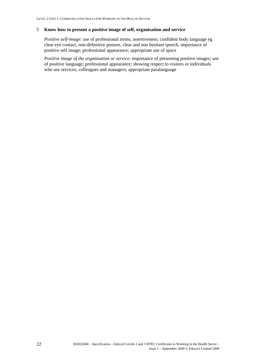#### 5 **Know how to present a positive image of self, organisation and service**

*Positive self-image*: use of professional terms; assertiveness; confident body language eg clear eye contact, non-defensive posture, clear and non hesitant speech; importance of positive self image; professional appearance; appropriate use of space

*Positive image of the organisation or service*: importance of presenting positive images; use of positive language; professional appearance; showing respect to visitors or individuals who use services, colleagues and managers; appropriate paralanguage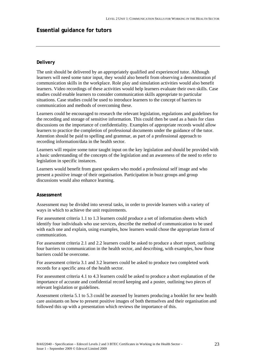#### **Essential guidance for tutors**

#### **Delivery**

The unit should be delivered by an appropriately qualified and experienced tutor. Although learners will need some tutor input, they would also benefit from observing a demonstration pf communication skills in the workplace. Role play and simulation activities would also benefit learners. Video recordings of these activities would help learners evaluate their own skills. Case studies could enable learners to consider communication skills appropriate to particular situations. Case studies could be used to introduce learners to the concept of barriers to communication and methods of overcoming these.

Learners could be encouraged to research the relevant legislation, regulations and guidelines for the recording and storage of sensitive information. This could then be used as a basis for class discussions on the importance of confidentiality. Examples of appropriate records would allow learners to practice the completion of professional documents under the guidance of the tutor. Attention should be paid to spelling and grammar, as part of a professional approach to recording information/data in the health sector.

Learners will require some tutor taught input on the key legislation and should be provided with a basic understanding of the concepts of the legislation and an awareness of the need to refer to legislation in specific instances.

Learners would benefit from guest speakers who model a professional self image and who present a positive image of their organisation. Participation in buzz groups and group discussions would also enhance learning.

#### **Assessment**

Assessment may be divided into several tasks, in order to provide learners with a variety of ways in which to achieve the unit requirements.

For assessment criteria 1.1 to 1.3 learners could produce a set of information sheets which identify four individuals who use services, describe the method of communication to be used with each one and explain, using examples, how learners would chose the appropriate form of communication.

For assessment criteria 2.1 and 2.2 learners could be asked to produce a short report, outlining four barriers to communication in the health sector, and describing, with examples, how those barriers could be overcome.

For assessment criteria 3.1 and 3.2 learners could be asked to produce two completed work records for a specific area of the health sector.

For assessment criteria 4.1 to 4.3 learners could be asked to produce a short explanation of the importance of accurate and confidential record keeping and a poster, outlining two pieces of relevant legislation or guidelines.

Assessment criteria 5.1 to 5.3 could be assessed by learners producing a booklet for new health care assistants on how to present positive images of both themselves and their organisation and followed this up with a presentation which reviews the importance of this.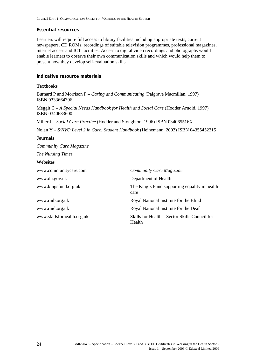#### **Essential resources**

Learners will require full access to library facilities including appropriate texts, current newspapers, CD ROMs, recordings of suitable television programmes, professional magazines, internet access and ICT facilities. Access to digital video recordings and photographs would enable learners to observe their own communication skills and which would help them to present how they develop self-evaluation skills.

#### **Indicative resource materials**

#### **Textbooks**

Burnard P and Morrison P – *Caring and Communicating* (Palgrave Macmillan, 1997) ISBN 0333664396

Meggit C – *A Special Needs Handbook for Health and Social Care* (Hodder Arnold, 1997) ISBN 0340683600

Miller J – *Social Care Practice* (Hodder and Stoughton, 1996) ISBN 034065516X

Nolan Y – *S/NVQ Level 2 in Care: Student Handbook* (Heinemann, 2003) ISBN 04355452215

#### **Journals**

*Community Care Magazine The Nursing Times* 

#### **Websites**

| www.communitycare.com      | <b>Community Care Magazine</b>                          |
|----------------------------|---------------------------------------------------------|
| www.dh.gov.uk              | Department of Health                                    |
| www.kingsfund.org.uk       | The King's Fund supporting equality in health<br>care   |
| www.rnib.org.uk            | Royal National Institute for the Blind                  |
| www.rnid.org.uk            | Royal National Institute for the Deaf                   |
| www.skillsforhealth.org.uk | Skills for Health – Sector Skills Council for<br>Health |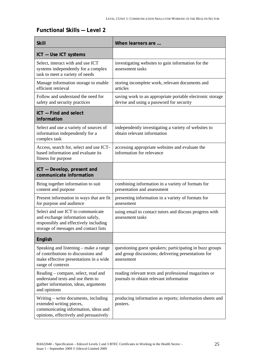#### **Functional Skills — Level 2**

| <b>Skill</b>                                                                                                                                            | When learners are                                                                                                             |
|---------------------------------------------------------------------------------------------------------------------------------------------------------|-------------------------------------------------------------------------------------------------------------------------------|
| ICT - Use ICT systems                                                                                                                                   |                                                                                                                               |
| Select, interact with and use ICT<br>systems independently for a complex<br>task to meet a variety of needs                                             | investigating websites to gain information for the<br>assessment tasks                                                        |
| Manage information storage to enable<br>efficient retrieval                                                                                             | storing incomplete work, relevant documents and<br>articles                                                                   |
| Follow and understand the need for<br>safety and security practices                                                                                     | saving work to an appropriate portable electronic storage<br>devise and using a password for security                         |
| ICT - Find and select<br>information                                                                                                                    |                                                                                                                               |
| Select and use a variety of sources of<br>information independently for a<br>complex task                                                               | independently investigating a variety of websites to<br>obtain relevant information                                           |
| Access, search for, select and use ICT-<br>based information and evaluate its<br>fitness for purpose                                                    | accessing appropriate websites and evaluate the<br>information for relevance                                                  |
| ICT - Develop, present and<br>communicate information                                                                                                   |                                                                                                                               |
| Bring together information to suit<br>content and purpose                                                                                               | combining information in a variety of formats for<br>presentation and assessment                                              |
| Present information in ways that are fit<br>for purpose and audience                                                                                    | presenting information in a variety of formats for<br>assessment                                                              |
| Select and use ICT to communicate<br>and exchange information safely,<br>responsibly and effectively including<br>storage of messages and contact lists | using email to contact tutors and discuss progress with<br>assessment tasks                                                   |
| English                                                                                                                                                 |                                                                                                                               |
| Speaking and listening – make a range<br>of contributions to discussions and<br>make effective presentations in a wide<br>range of contexts             | questioning guest speakers; participating in buzz groups<br>and group discussions; delivering presentations for<br>assessment |
| Reading – compare, select, read and<br>understand texts and use them to<br>gather information, ideas, arguments<br>and opinions                         | reading relevant texts and professional magazines or<br>journals to obtain relevant information                               |
| Writing - write documents, including<br>extended writing pieces,<br>communicating information, ideas and<br>opinions, effectively and persuasively      | producing information as reports; information sheets and<br>posters.                                                          |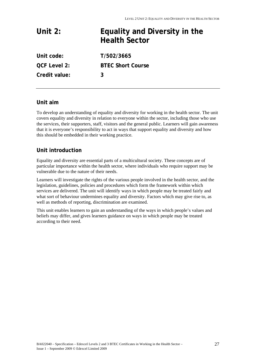<span id="page-32-0"></span>

| Unit $2:$           | Equality and Diversity in the<br><b>Health Sector</b> |
|---------------------|-------------------------------------------------------|
| Unit code:          | T/502/3665                                            |
| <b>QCF Level 2:</b> | <b>BTEC Short Course</b>                              |

**Unit aim** 

To develop an understanding of equality and diversity for working in the health sector. The unit covers equality and diversity in relation to everyone within the sector, including those who use the services, their supporters, staff, visitors and the general public. Learners will gain awareness that it is everyone's responsibility to act in ways that support equality and diversity and how this should be embedded in their working practice.

#### **Unit introduction**

**Credit value: 3** 

Equality and diversity are essential parts of a multicultural society. These concepts are of particular importance within the health sector, where individuals who require support may be vulnerable due to the nature of their needs.

Learners will investigate the rights of the various people involved in the health sector, and the legislation, guidelines, policies and procedures which form the framework within which services are delivered. The unit will identify ways in which people may be treated fairly and what sort of behaviour undermines equality and diversity. Factors which may give rise to, as well as methods of reporting, discrimination are examined.

This unit enables learners to gain an understanding of the ways in which people's values and beliefs may differ, and gives learners guidance on ways in which people may be treated according to their need.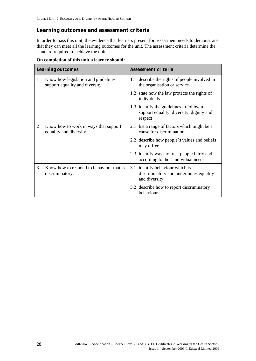#### **Learning outcomes and assessment criteria**

In order to pass this unit, the evidence that learners present for assessment needs to demonstrate that they can meet all the learning outcomes for the unit. The assessment criteria determine the standard required to achieve the unit.

| Learning outcomes |                                                                       | Assessment criteria                                                                             |
|-------------------|-----------------------------------------------------------------------|-------------------------------------------------------------------------------------------------|
| 1                 | Know how legislation and guidelines<br>support equality and diversity | 1.1 describe the rights of people involved in<br>the organisation or service                    |
|                   |                                                                       | 1.2 state how the law protects the rights of<br>individuals                                     |
|                   |                                                                       | 1.3 identify the guidelines to follow to<br>support equality, diversity, dignity and<br>respect |
| 2                 | Know how to work in ways that support<br>equality and diversity       | 2.1 list a range of factors which might be a<br>cause for discrimination                        |
|                   |                                                                       | 2.2 describe how people's values and beliefs<br>may differ                                      |
|                   |                                                                       | 2.3 identify ways to treat people fairly and<br>according to their individual needs             |
| 3                 | Know how to respond to behaviour that is<br>discriminatory.           | 3.1 identify behaviour which is<br>discriminatory and undermines equality<br>and diversity      |
|                   |                                                                       | 3.2 describe how to report discriminatory<br>behaviour.                                         |

**On completion of this unit a learner should:**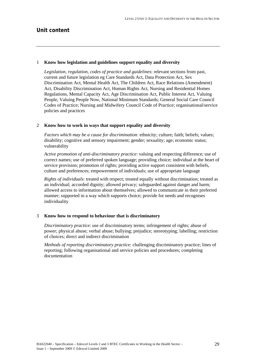#### 1 **Know how legislation and guidelines support equality and diversity**

*Legislation, regulation, codes of practice and guidelines*: relevant sections from past, current and future legislation eg Care Standards Act, Data Protection Act, Sex Discrimination Act, Mental Health Act, The Children Act, Race Relations (Amendment) Act, Disability Discrimination Act, Human Rights Act, Nursing and Residential Homes Regulations, Mental Capacity Act, Age Discrimination Act, Public Interest Act, Valuing People, Valuing People Now, National Minimum Standards; General Social Care Council Codes of Practice; Nursing and Midwifery Council Code of Practice; organisational/service policies and practices

#### 2 **Know how to work in ways that support equality and diversity**

*Factors which may be a cause for discrimination*: ethnicity; culture; faith; beliefs; values; disability; cognitive and sensory impairment; gender; sexuality; age; economic status; vulnerability

*Active promotion of anti-discriminatory practice*: valuing and respecting difference; use of correct names; use of preferred spoken language; providing choice; individual at the heart of service provision; promotion of rights; providing active support consistent with beliefs, culture and preferences; empowerment of individuals; use of appropriate language

*Rights of individuals*: treated with respect; treated equally without discrimination; treated as an individual; accorded dignity; allowed privacy; safeguarded against danger and harm; allowed access to information about themselves; allowed to communicate in their preferred manner; supported in a way which supports choice; provide for needs and recognises individuality

#### 3 **Know how to respond to behaviour that is discriminatory**

*Discriminatory practice*: use of discriminatory terms; infringement of rights; abuse of power; physical abuse; verbal abuse; bullying; prejudice; stereotyping; labelling; restriction of choices; direct and indirect discrimination

*Methods of reporting discriminatory practice*: challenging discriminatory practice; lines of reporting; following organisational and service policies and procedures; completing documentation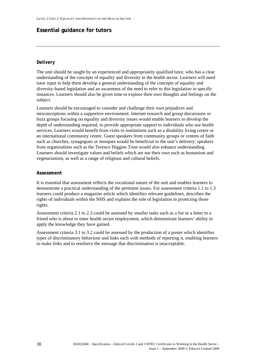#### **Essential guidance for tutors**

#### **Delivery**

The unit should be taught by an experienced and appropriately qualified tutor, who has a clear understanding of the concepts of equality and diversity in the health sector. Learners will need tutor input to help them develop a general understanding of the concepts of equality and diversity-based legislation and an awareness of the need to refer to this legislation in specific instances. Learners should also be given time to explore their own thoughts and feelings on the subject.

Learners should be encouraged to consider and challenge their own prejudices and misconceptions within a supportive environment. Internet research and group discussions or buzz groups focusing on equality and diversity issues would enable learners to develop the depth of understanding required, to provide appropriate support to individuals who use health services. Learners would benefit from visits to institutions such as a disability living centre or an international community centre. Guest speakers from community groups or centres of faith such as churches, synagogues or mosques would be beneficial to the unit's delivery; speakers from organisations such as the Terence Higgins Trust would also enhance understanding. Learners should investigate values and beliefs which are not their own such as humanism and vegetarianism, as well as a range of religious and cultural beliefs.

#### **Assessment**

It is essential that assessment reflects the vocational nature of the unit and enables learners to demonstrate a practical understanding of the pertinent issues. For assessment criteria 1.1 to 1.3 learners could produce a magazine article which identifies relevant guidelines, describes the rights of individuals within the NHS and explains the role of legislation in protecting those rights.

Assessment criteria 2.1 to 2.3 could be assessed by smaller tasks such as a list or a letter to a friend who is about to enter health sector employment, which demonstrate learners' ability to apply the knowledge they have gained.

Assessment criteria 3.1 to 3.2 could be assessed by the production of a poster which identifies types of discriminatory behaviour and links each with methods of reporting it, enabling learners to make links and to reinforce the message that discrimination is unacceptable.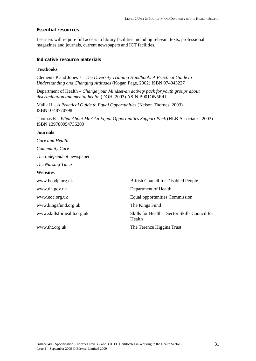# **Essential resources**

Learners will require full access to library facilities including relevant texts, professional magazines and journals, current newspapers and ICT facilities.

# **Indicative resource materials**

#### **Textbooks**

Clements P and Jones J – *The Diversity Training Handbook: A Practical Guide to Understanding and Changing Attitudes* (Kogan Page, 2002) ISBN 074943227

Department of Health – *Change your Mindset-an activity pack for youth groups about discrimination and mental health* (DOH, 2003) ASIN B001ON5I9U

Malik H – *A Practical Guide to Equal Opportunities* (Nelson Thornes, 2003) ISBN 0748770798

Thomas E – *What About Me? An Equal Opportunities Support Pack* (HLB Associates, 2003) ISBN 139780954736200

#### **Journals**

*Care and Health* 

*Community Care* 

*The Independent* newspaper

*The Nursing Times* 

#### **Websites**

| www.bcodp.org.uk           | <b>British Council for Disabled People</b>              |
|----------------------------|---------------------------------------------------------|
| www.dh.gov.uk              | Department of Health                                    |
| www.eoc.org.uk             | <b>Equal opportunities Commission</b>                   |
| www.kingsfund.org.uk       | The Kings Fund                                          |
| www.skillsforhealth.org.uk | Skills for Health – Sector Skills Council for<br>Health |
| www.tht.org.uk             | The Terence Higgins Trust                               |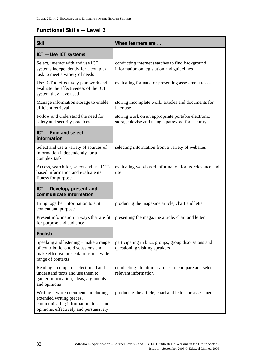# **Functional Skills — Level 2**

| <b>Skill</b>                                                                                                                                       | When learners are                                                                                      |
|----------------------------------------------------------------------------------------------------------------------------------------------------|--------------------------------------------------------------------------------------------------------|
| ICT - Use ICT systems                                                                                                                              |                                                                                                        |
| Select, interact with and use ICT<br>systems independently for a complex<br>task to meet a variety of needs                                        | conducting internet searches to find background<br>information on legislation and guidelines           |
| Use ICT to effectively plan work and<br>evaluate the effectiveness of the ICT<br>system they have used                                             | evaluating formats for presenting assessment tasks                                                     |
| Manage information storage to enable<br>efficient retrieval                                                                                        | storing incomplete work, articles and documents for<br>later use                                       |
| Follow and understand the need for<br>safety and security practices                                                                                | storing work on an appropriate portable electronic<br>storage devise and using a password for security |
| ICT - Find and select<br>information                                                                                                               |                                                                                                        |
| Select and use a variety of sources of<br>information independently for a<br>complex task                                                          | selecting information from a variety of websites                                                       |
| Access, search for, select and use ICT-<br>based information and evaluate its<br>fitness for purpose                                               | evaluating web-based information for its relevance and<br>use                                          |
| ICT - Develop, present and<br>communicate information                                                                                              |                                                                                                        |
| Bring together information to suit<br>content and purpose                                                                                          | producing the magazine article, chart and letter                                                       |
| Present information in ways that are fit<br>for purpose and audience                                                                               | presenting the magazine article, chart and letter                                                      |
| English                                                                                                                                            |                                                                                                        |
| Speaking and listening – make a range<br>of contributions to discussions and<br>make effective presentations in a wide<br>range of contexts        | participating in buzz groups, group discussions and<br>questioning visiting speakers                   |
| Reading – compare, select, read and<br>understand texts and use them to<br>gather information, ideas, arguments<br>and opinions                    | conducting literature searches to compare and select<br>relevant information                           |
| Writing – write documents, including<br>extended writing pieces,<br>communicating information, ideas and<br>opinions, effectively and persuasively | producing the article, chart and letter for assessment.                                                |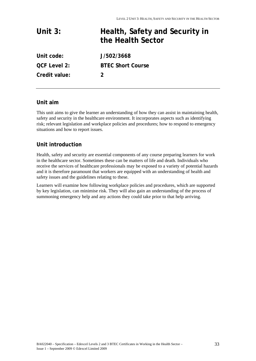| Unit $3:$           | Health, Safety and Security in<br>the Health Sector |
|---------------------|-----------------------------------------------------|
| Unit code:          | J/502/3668                                          |
| <b>QCF Level 2:</b> | <b>BTEC Short Course</b>                            |
| Credit value:       |                                                     |

# **Unit aim**

This unit aims to give the learner an understanding of how they can assist in maintaining health, safety and security in the healthcare environment. It incorporates aspects such as identifying risk; relevant legislation and workplace policies and procedures; how to respond to emergency situations and how to report issues.

# **Unit introduction**

Health, safety and security are essential components of any course preparing learners for work in the healthcare sector. Sometimes these can be matters of life and death. Individuals who receive the services of healthcare professionals may be exposed to a variety of potential hazards and it is therefore paramount that workers are equipped with an understanding of health and safety issues and the guidelines relating to these.

Learners will examine how following workplace policies and procedures, which are supported by key legislation, can minimise risk. They will also gain an understanding of the process of summoning emergency help and any actions they could take prior to that help arriving.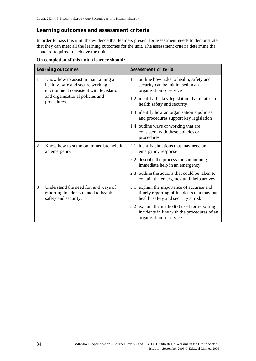# **Learning outcomes and assessment criteria**

In order to pass this unit, the evidence that learners present for assessment needs to demonstrate that they can meet all the learning outcomes for the unit. The assessment criteria determine the standard required to achieve the unit.

|                                                                                                                                                                                     | Learning outcomes                                                                                         | Assessment criteria                                                                                                             |
|-------------------------------------------------------------------------------------------------------------------------------------------------------------------------------------|-----------------------------------------------------------------------------------------------------------|---------------------------------------------------------------------------------------------------------------------------------|
| Know how to assist in maintaining a<br>$\mathbf{1}$<br>healthy, safe and secure working<br>environment consistent with legislation<br>and organisational policies and<br>procedures | 1.1 outline how risks to health, safety and<br>security can be minimised in an<br>organisation or service |                                                                                                                                 |
|                                                                                                                                                                                     | 1.2 identify the key legislation that relates to<br>health safety and security                            |                                                                                                                                 |
|                                                                                                                                                                                     |                                                                                                           | 1.3 identify how an organisation's policies<br>and procedures support key legislation                                           |
|                                                                                                                                                                                     |                                                                                                           | 1.4 outline ways of working that are<br>consistent with these policies or<br>procedures                                         |
| 2                                                                                                                                                                                   | Know how to summon immediate help in<br>an emergency                                                      | 2.1 identify situations that may need an<br>emergency response                                                                  |
|                                                                                                                                                                                     |                                                                                                           | 2.2 describe the process for summoning<br>immediate help in an emergency                                                        |
|                                                                                                                                                                                     |                                                                                                           | 2.3 outline the actions that could be taken to<br>contain the emergency until help arrives                                      |
| 3                                                                                                                                                                                   | Understand the need for, and ways of<br>reporting incidents related to health,<br>safety and security.    | 3.1 explain the importance of accurate and<br>timely reporting of incidents that may put<br>health, safety and security at risk |
|                                                                                                                                                                                     |                                                                                                           | 3.2 explain the method(s) used for reporting<br>incidents in line with the procedures of an<br>organisation or service.         |

**On completion of this unit a learner should:**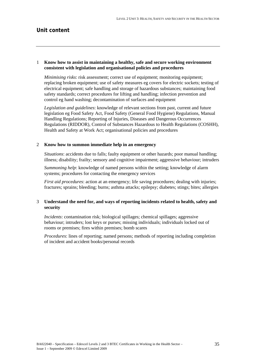# 1 **Know how to assist in maintaining a healthy, safe and secure working environment consistent with legislation and organisational policies and procedures**

*Minimising risks*: risk assessment; correct use of equipment; monitoring equipment; replacing broken equipment; use of safety measures eg covers for electric sockets; testing of electrical equipment; safe handling and storage of hazardous substances; maintaining food safety standards; correct procedures for lifting and handling; infection prevention and control eg hand washing; decontamination of surfaces and equipment

*Legislation and guidelines*: knowledge of relevant sections from past, current and future legislation eg Food Safety Act, Food Safety (General Food Hygiene) Regulations, Manual Handling Regulations; Reporting of Injuries, Diseases and Dangerous Occurrences Regulations (RIDDOR), Control of Substances Hazardous to Health Regulations (COSHH), Health and Safety at Work Act; organisational policies and procedures

#### 2 **Know how to summon immediate help in an emergency**

*Situations*: accidents due to falls; faulty equipment or other hazards; poor manual handling; illness; disability; frailty; sensory and cognitive impairment; aggressive behaviour; intruders

*Summoning help*: knowledge of named persons within the setting; knowledge of alarm systems; procedures for contacting the emergency services

*First aid procedures*: action at an emergency; life saving procedures; dealing with injuries; fractures; sprains; bleeding; burns; asthma attacks; epilepsy; diabetes; stings; bites; allergies

# 3 **Understand the need for, and ways of reporting incidents related to health, safety and security**

*Incidents*: contamination risk; biological spillages; chemical spillages; aggressive behaviour; intruders; lost keys or purses; missing individuals; individuals locked out of rooms or premises; fires within premises; bomb scares

*Procedures*: lines of reporting; named persons; methods of reporting including completion of incident and accident books/personal records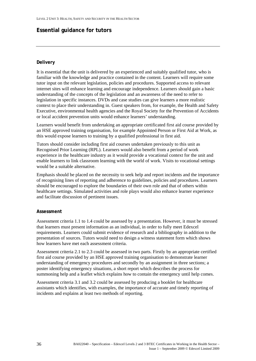# **Essential guidance for tutors**

# **Delivery**

It is essential that the unit is delivered by an experienced and suitably qualified tutor, who is familiar with the knowledge and practice contained in the content. Learners will require some tutor input on the relevant legislation, policies and procedures. Supported access to relevant internet sites will enhance learning and encourage independence. Learners should gain a basic understanding of the concepts of the legislation and an awareness of the need to refer to legislation in specific instances. DVDs and case studies can give learners a more realistic context to place their understanding in. Guest speakers from, for example, the Health and Safety Executive, environmental health agencies and the Royal Society for the Prevention of Accidents or local accident prevention units would enhance learners' understanding.

Learners would benefit from undertaking an appropriate certificated first aid course provided by an HSE approved training organisation, for example Appointed Person or First Aid at Work, as this would expose learners to training by a qualified professional in first aid.

Tutors should consider including first aid courses undertaken previously to this unit as Recognised Prior Learning (RPL). Learners would also benefit from a period of work experience in the healthcare industry as it would provide a vocational context for the unit and enable learners to link classroom learning with the world of work. Visits to vocational settings would be a suitable alternative.

Emphasis should be placed on the necessity to seek help and report incidents and the importance of recognising lines of reporting and adherence to guidelines, policies and procedures. Learners should be encouraged to explore the boundaries of their own role and that of others within healthcare settings. Simulated activities and role plays would also enhance learner experience and facilitate discussion of pertinent issues.

# **Assessment**

Assessment criteria 1.1 to 1.4 could be assessed by a presentation. However, it must be stressed that learners must present information as an individual, in order to fully meet Edexcel requirements. Learners could submit evidence of research and a bibliography in addition to the presentation of sources. Tutors would need to design a witness statement form which shows how learners have met each assessment criteria.

Assessment criteria 2.1 to 2.3 could be assessed in two parts. Firstly by an appropriate certified first aid course provided by an HSE approved training organisation to demonstrate learner understanding of emergency procedures and secondly by an assignment in three sections; a poster identifying emergency situations, a short report which describes the process for summoning help and a leaflet which explains how to contain the emergency until help comes.

Assessment criteria 3.1 and 3.2 could be assessed by producing a booklet for healthcare assistants which identifies, with examples, the importance of accurate and timely reporting of incidents and explains at least two methods of reporting.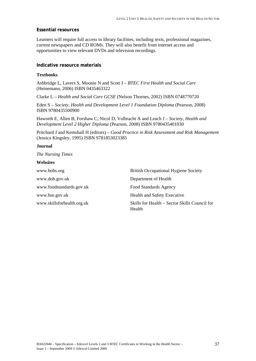# **Essential resources**

Learners will require full access to library facilities, including texts, professional magazines, current newspapers and CD ROMs. They will also benefit from internet access and opportunities to view relevant DVDs and television recordings.

# **Indicative resource materials**

# **Textbooks**

Ashbridge L, Lavers S, Moonie N and Scott J – *BTEC First Health and Social Care* (Heinemann, 2006) ISBN 0435463322

Clarke L – *Health and Social Care GCSE* (Nelson Thornes, 2002) ISBN 0748770720

Eden S – *Society, Health and Development Level 1 Foundation Diploma* (Pearson, 2008) ISBN 9780435500900

Haworth E, Allen B, Forshaw C, Nicol D, Volbracht A and Leach J – *Society, Health and Development Level 2 Higher Diploma* (Pearson, 2008) ISBN 9780435401030

Pritchard J and Kemshall H (editors) – *Good Practice in Risk Assessment and Risk Management* (Jessica Kingsley, 1995) ISBN 9781853023385

# **Journal**

*The Nursing Times* 

# **Websites**

| www.bohs.org               | <b>British Occupational Hygiene Society</b>             |
|----------------------------|---------------------------------------------------------|
| www.doh.gov.uk             | Department of Health                                    |
| www.foodstandards.gov.uk   | Food Standards Agency                                   |
| www.hse.gov.uk             | Health and Safety Executive                             |
| www.skillsforhealth.org.uk | Skills for Health – Sector Skills Council for<br>Health |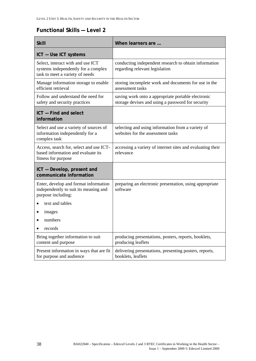# **Functional Skills — Level 2**

| <b>Skill</b>                                                                                                | When learners are                                                                                       |
|-------------------------------------------------------------------------------------------------------------|---------------------------------------------------------------------------------------------------------|
| ICT - Use ICT systems                                                                                       |                                                                                                         |
| Select, interact with and use ICT<br>systems independently for a complex<br>task to meet a variety of needs | conducting independent research to obtain information<br>regarding relevant legislation                 |
| Manage information storage to enable<br>efficient retrieval                                                 | storing incomplete work and documents for use in the<br>assessment tasks                                |
| Follow and understand the need for<br>safety and security practices                                         | saving work onto a appropriate portable electronic<br>storage devises and using a password for security |
| ICT - Find and select<br>information                                                                        |                                                                                                         |
| Select and use a variety of sources of<br>information independently for a<br>complex task                   | selecting and using information from a variety of<br>websites for the assessment tasks                  |
| Access, search for, select and use ICT-<br>based information and evaluate its<br>fitness for purpose        | accessing a variety of internet sites and evaluating their<br>relevance                                 |
| ICT - Develop, present and<br>communicate information                                                       |                                                                                                         |
| Enter, develop and format information<br>independently to suit its meaning and<br>purpose including:        | preparing an electronic presentation, using appropriate<br>software                                     |
| text and tables                                                                                             |                                                                                                         |
| images<br>٠                                                                                                 |                                                                                                         |
| numbers                                                                                                     |                                                                                                         |
| records                                                                                                     |                                                                                                         |
| Bring together information to suit<br>content and purpose                                                   | producing presentations, posters, reports, booklets,<br>producing leaflets                              |
| Present information in ways that are fit<br>for purpose and audience                                        | delivering presentations, presenting posters, reports,<br>booklets, leaflets                            |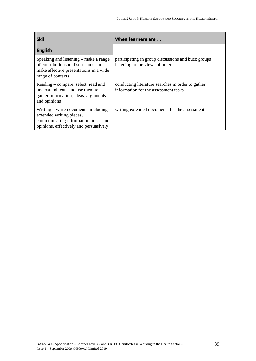| <b>Skill</b>                                                                                                                                       | When learners are                                                                         |
|----------------------------------------------------------------------------------------------------------------------------------------------------|-------------------------------------------------------------------------------------------|
| English                                                                                                                                            |                                                                                           |
| Speaking and listening – make a range<br>of contributions to discussions and<br>make effective presentations in a wide<br>range of contexts        | participating in group discussions and buzz groups<br>listening to the views of others    |
| Reading – compare, select, read and<br>understand texts and use them to<br>gather information, ideas, arguments<br>and opinions                    | conducting literature searches in order to gather<br>information for the assessment tasks |
| Writing – write documents, including<br>extended writing pieces,<br>communicating information, ideas and<br>opinions, effectively and persuasively | writing extended documents for the assessment.                                            |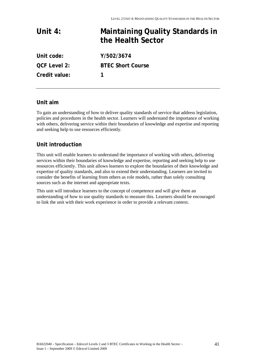# **Unit 4: Maintaining Quality Standards in the Health Sector Unit code: Y/502/3674 QCF Level 2: BTEC Short Course**

**Credit value: 1** 

# **Unit aim**

To gain an understanding of how to deliver quality standards of service that address legislation, policies and procedures in the health sector. Learners will understand the importance of working with others, delivering service within their boundaries of knowledge and expertise and reporting and seeking help to use resources efficiently.

# **Unit introduction**

This unit will enable learners to understand the importance of working with others, delivering services within their boundaries of knowledge and expertise, reporting and seeking help to use resources efficiently. This unit allows learners to explore the boundaries of their knowledge and expertise of quality standards, and also to extend their understanding. Learners are invited to consider the benefits of learning from others as role models, rather than solely consulting sources such as the internet and appropriate texts.

This unit will introduce learners to the concept of competence and will give them an understanding of how to use quality standards to measure this. Learners should be encouraged to link the unit with their work experience in order to provide a relevant context.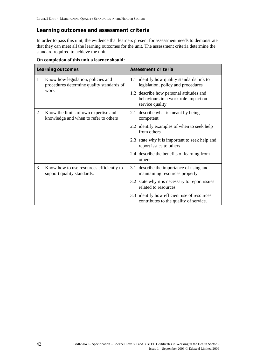# **Learning outcomes and assessment criteria**

In order to pass this unit, the evidence that learners present for assessment needs to demonstrate that they can meet all the learning outcomes for the unit. The assessment criteria determine the standard required to achieve the unit.

|   | Learning outcomes                                                               | Assessment criteria                                                                               |
|---|---------------------------------------------------------------------------------|---------------------------------------------------------------------------------------------------|
| 1 | Know how legislation, policies and<br>procedures determine quality standards of | 1.1 identify how quality standards link to<br>legislation, policy and procedures                  |
|   | work                                                                            | 1.2 describe how personal attitudes and<br>behaviours in a work role impact on<br>service quality |
| 2 | Know the limits of own expertise and<br>knowledge and when to refer to others   | 2.1 describe what is meant by being<br>competent                                                  |
|   |                                                                                 | 2.2 identify examples of when to seek help<br>from others                                         |
|   |                                                                                 | 2.3 state why it is important to seek help and<br>report issues to others                         |
|   |                                                                                 | 2.4 describe the benefits of learning from<br>others                                              |
| 3 | Know how to use resources efficiently to<br>support quality standards.          | 3.1 describe the importance of using and<br>maintaining resources properly                        |
|   |                                                                                 | 3.2 state why it is necessary to report issues<br>related to resources                            |
|   |                                                                                 | 3.3 identify how efficient use of resources<br>contributes to the quality of service.             |

**On completion of this unit a learner should:**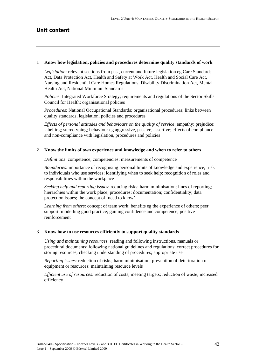#### 1 **Know how legislation, policies and procedures determine quality standards of work**

*Legislation*: relevant sections from past, current and future legislation eg Care Standards Act, Data Protection Act, Health and Safety at Work Act, Health and Social Care Act, Nursing and Residential Care Homes Regulations, Disability Discrimination Act, Mental Health Act, National Minimum Standards

*Policies*: Integrated Workforce Strategy; requirements and regulations of the Sector Skills Council for Health; organisational policies

*Procedures*: National Occupational Standards; organisational procedures; links between quality standards, legislation, policies and procedures

*Effects of personal attitudes and behaviours on the quality of service*: empathy; prejudice; labelling; stereotyping; behaviour eg aggressive, passive, assertive; effects of compliance and non-compliance with legislation, procedures and policies

#### 2 **Know the limits of own experience and knowledge and when to refer to others**

*Definitions*: competence; competencies; measurements of competence

*Boundaries*: importance of recognising personal limits of knowledge and experience; risk to individuals who use services; identifying when to seek help; recognition of roles and responsibilities within the workplace

*Seeking help and reporting issues*: reducing risks; harm minimisation; lines of reporting; hierarchies within the work place; procedures; documentation; confidentiality; data protection issues; the concept of 'need to know'

*Learning from others*: concept of team work; benefits eg the experience of others; peer support; modelling good practice; gaining confidence and competence; positive reinforcement

#### 3 **Know how to use resources efficiently to support quality standards**

*Using and maintaining resources*: reading and following instructions, manuals or procedural documents; following national guidelines and regulations; correct procedures for storing resources; checking understanding of procedures; appropriate use

*Reporting issues*: reduction of risks; harm minimisation; prevention of deterioration of equipment or resources; maintaining resource levels

*Efficient use of resources*: reduction of costs; meeting targets; reduction of waste; increased efficiency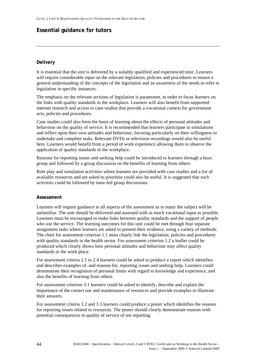# **Essential guidance for tutors**

# **Delivery**

It is essential that the unit is delivered by a suitably qualified and experienced tutor. Learners will require considerable input on the relevant legislation, policies and procedures to ensure a general understanding of the concepts of the legislation and an awareness of the needs to refer to legislation in specific instances.

The emphasis on the relevant sections of legislation is paramount, in order to focus learners on the links with quality standards in the workplace. Learners will also benefit from supported internet research and access to case studies that provide a vocational context for government acts, policies and procedures.

Case studies could also form the basis of learning about the effects of personal attitudes and behaviour on the quality of service. It is recommended that learners participate in simulations and reflect upon their own attitudes and behaviour, focusing particularly on their willingness to undertake and complete tasks. Relevant DVDs or television recordings would also be useful here. Learners would benefit from a period of work experience allowing them to observe the application of quality standards in the workplace.

Reasons for reporting issues and seeking help could be introduced to learners through a buzz group and followed by a group discussion on the benefits of learning from others.

Role play and simulation activities where learners are provided with case studies and a list of available resources and are asked to prioritise could also be useful. It is suggested that such activities could be followed by tutor-led group discussions.

# **Assessment**

Learners will require guidance in all aspects of the assessment as to many the subject will be unfamiliar. The unit should be delivered and assessed with as much vocational input as possible. Learners must be encouraged to make links between quality standards and the support of people who use the service. The learning outcomes for this unit could be met through four separate assignment tasks where learners are asked to present their evidence, using a variety of methods. The chart for assessment criterion 1.1 must clearly link the legislation, policies and procedures with quality standards in the health sector. For assessment criterion 1.2 a leaflet could be produced which clearly shows how personal attitudes and behaviour may affect quality standards in the work place.

For assessment criteria 2.1 to 2.4 learners could be asked to produce a report which identifies and describes examples of, and reasons for, reporting issues and seeking help. Learners could demonstrate their recognition of personal limits with regard to knowledge and experience, and also the benefits of learning from others.

For assessment criterion 3.1 learners could be asked to identify, describe and explain the importance of the correct use and maintenance of resources and provide examples to illustrate their answers.

For assessment criteria 3.2 and 3.3 learners could produce a poster which identifies the reasons for reporting issues related to resources. The poster should clearly demonstrate reasons with potential consequences to quality of service of not reporting.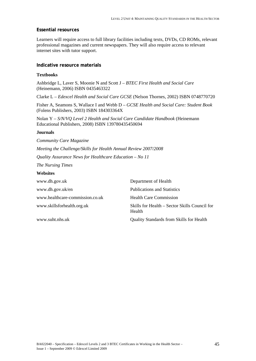# **Essential resources**

Learners will require access to full library facilities including texts, DVDs, CD ROMs, relevant professional magazines and current newspapers. They will also require access to relevant internet sites with tutor support.

#### **Indicative resource materials**

#### **Textbooks**

Ashbridge L, Laver S, Moonie N and Scott J – *BTEC First Health and Social Care*  (Heinemann, 2006) ISBN 0435463322

Clarke L – *Edexcel Health and Social Care GCSE* (Nelson Thornes, 2002) ISBN 0748770720

Fisher A, Seamons S, Wallace I and Webb D – *GCSE Health and Social Care: Student Book*  (Folens Publishers, 2003) ISBN 184303364X

Nolan Y – *S/N/VQ Level 2 Health and Social Care Candidate Handbook* (Heinemann Educational Publishers, 2008) ISBN 139780435450694

#### **Journals**

*Community Care Magazine Meeting the Challenge/Skills for Health Annual Review 2007/2008 Quality Assurance News for Healthcare Education – No 11* 

*The Nursing Times* 

#### **Websites**

| www.dh.gov.uk                   | Department of Health                                    |
|---------------------------------|---------------------------------------------------------|
| www.dh.gov.uk/en                | <b>Publications and Statistics</b>                      |
| www.healthcare-commission.co.uk | <b>Health Care Commission</b>                           |
| www.skillsforhealth.org.uk      | Skills for Health – Sector Skills Council for<br>Health |
| www.suht.nhs.uk                 | <b>Quality Standards from Skills for Health</b>         |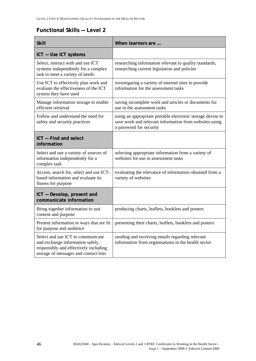# **Functional Skills — Level 2**

| <b>Skill</b>                                                                                                                                            | When learners are                                                                                                                               |
|---------------------------------------------------------------------------------------------------------------------------------------------------------|-------------------------------------------------------------------------------------------------------------------------------------------------|
| ICT - Use ICT systems                                                                                                                                   |                                                                                                                                                 |
| Select, interact with and use ICT<br>systems independently for a complex<br>task to meet a variety of needs                                             | researching information relevant to quality standards,<br>researching current legislation and policies                                          |
| Use ICT to effectively plan work and<br>evaluate the effectiveness of the ICT<br>system they have used                                                  | investigating a variety of internet sites to provide<br>information for the assessment tasks                                                    |
| Manage information storage to enable<br>efficient retrieval                                                                                             | saving incomplete work and articles or documents for<br>use in the assessment tasks                                                             |
| Follow and understand the need for<br>safety and security practices                                                                                     | using an appropriate portable electronic storage devise to<br>save work and relevant information from websites using<br>a password for security |
| ICT - Find and select<br>information                                                                                                                    |                                                                                                                                                 |
| Select and use a variety of sources of<br>information independently for a<br>complex task                                                               | selecting appropriate information from a variety of<br>websites for use in assessment tasks                                                     |
| Access, search for, select and use ICT-<br>based information and evaluate its<br>fitness for purpose                                                    | evaluating the relevance of information obtained from a<br>variety of websites                                                                  |
| ICT - Develop, present and<br>communicate information                                                                                                   |                                                                                                                                                 |
| Bring together information to suit<br>content and purpose                                                                                               | producing charts, leaflets, booklets and posters                                                                                                |
| Present information in ways that are fit<br>for purpose and audience                                                                                    | presenting their charts, leaflets, booklets and posters                                                                                         |
| Select and use ICT to communicate<br>and exchange information safely,<br>responsibly and effectively including<br>storage of messages and contact lists | sending and receiving emails regarding relevant<br>information from organisations in the health sector                                          |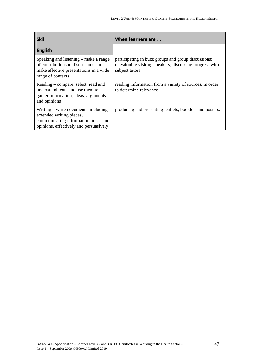| <b>Skill</b>                                                                                                                                       | When learners are                                                                                                                |
|----------------------------------------------------------------------------------------------------------------------------------------------------|----------------------------------------------------------------------------------------------------------------------------------|
| English                                                                                                                                            |                                                                                                                                  |
| Speaking and listening – make a range<br>of contributions to discussions and<br>make effective presentations in a wide<br>range of contexts        | participating in buzz groups and group discussions;<br>questioning visiting speakers; discussing progress with<br>subject tutors |
| Reading – compare, select, read and<br>understand texts and use them to<br>gather information, ideas, arguments<br>and opinions                    | reading information from a variety of sources, in order<br>to determine relevance                                                |
| Writing – write documents, including<br>extended writing pieces,<br>communicating information, ideas and<br>opinions, effectively and persuasively | producing and presenting leaflets, booklets and posters.                                                                         |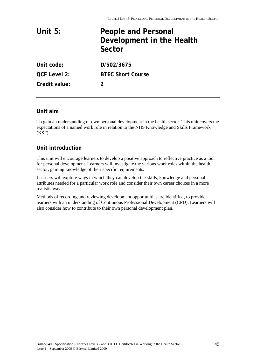| Unit $5:$           | <b>People and Personal</b><br>Development in the Health<br>Sector |
|---------------------|-------------------------------------------------------------------|
| Unit code:          | D/502/3675                                                        |
| <b>QCF Level 2:</b> | <b>BTEC Short Course</b>                                          |
| Credit value:       | 2                                                                 |

# **Unit aim**

To gain an understanding of own personal development in the health sector. This unit covers the expectations of a named work role in relation to the NHS Knowledge and Skills Framework (KSF).

# **Unit introduction**

This unit will encourage learners to develop a positive approach to reflective practice as a tool for personal development. Learners will investigate the various work roles within the health sector, gaining knowledge of their specific requirements.

Learners will explore ways in which they can develop the skills, knowledge and personal attributes needed for a particular work role and consider their own career choices in a more realistic way.

Methods of recording and reviewing development opportunities are identified, to provide learners with an understanding of Continuous Professional Development (CPD). Learners will also consider how to contribute to their own personal development plan.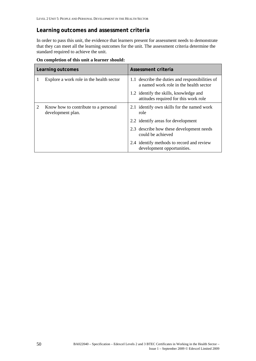# **Learning outcomes and assessment criteria**

In order to pass this unit, the evidence that learners present for assessment needs to demonstrate that they can meet all the learning outcomes for the unit. The assessment criteria determine the standard required to achieve the unit.

| On completion of this unit a learner should: |
|----------------------------------------------|
|----------------------------------------------|

| Learning outcomes |                                                           | Assessment criteria                                                                       |
|-------------------|-----------------------------------------------------------|-------------------------------------------------------------------------------------------|
|                   | Explore a work role in the health sector                  | 1.1 describe the duties and responsibilities of<br>a named work role in the health sector |
|                   |                                                           | 1.2 identify the skills, knowledge and<br>attitudes required for this work role           |
| 2                 | Know how to contribute to a personal<br>development plan. | 2.1 identify own skills for the named work<br>role                                        |
|                   |                                                           | 2.2 identify areas for development                                                        |
|                   |                                                           | 2.3 describe how these development needs<br>could be achieved                             |
|                   |                                                           | 2.4 identify methods to record and review<br>development opportunities.                   |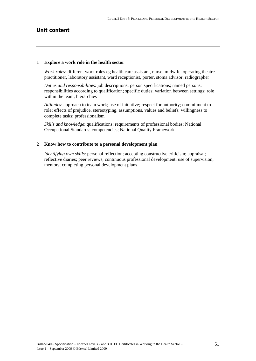# **Unit content**

#### 1 **Explore a work role in the health sector**

*Work roles*: different work roles eg health care assistant, nurse, midwife, operating theatre practitioner, laboratory assistant, ward receptionist, porter, stoma advisor, radiographer

*Duties and responsibilities*: job descriptions; person specifications; named persons; responsibilities according to qualification; specific duties; variation between settings; role within the team; hierarchies

*Attitudes*: approach to team work; use of initiative; respect for authority; commitment to role; effects of prejudice, stereotyping, assumptions, values and beliefs; willingness to complete tasks; professionalism

*Skills and knowledge*: qualifications; requirements of professional bodies; National Occupational Standards; competencies; National Quality Framework

# 2 **Know how to contribute to a personal development plan**

*Identifying own skills*: personal reflection; accepting constructive criticism; appraisal; reflective diaries; peer reviews; continuous professional development; use of supervision; mentors; completing personal development plans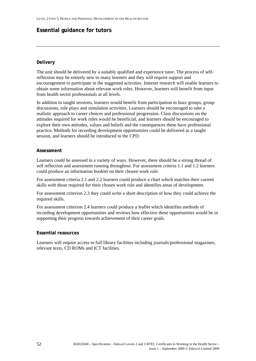# **Essential guidance for tutors**

# **Delivery**

The unit should be delivered by a suitably qualified and experience tutor. The process of selfreflection may be entirely new to many learners and they will require support and encouragement to participate in the suggested activities. Internet research will enable learners to obtain some information about relevant work roles. However, learners will benefit from input from health sector professionals at all levels.

In addition to taught sessions, learners would benefit from participation in buzz groups, group discussions, role plays and simulation activities. Learners should be encouraged to take a realistic approach to career choices and professional progression. Class discussions on the attitudes required for work roles would be beneficial, and learners should be encouraged to explore their own attitudes, values and beliefs and the consequences these have professional practice. Methods for recording development opportunities could be delivered as a taught session, and learners should be introduced to the CPD.

# **Assessment**

Learners could be assessed in a variety of ways. However, there should be a strong thread of self reflection and assessment running throughout. For assessment criteria 1.1 and 1.2 learners could produce an information booklet on their chosen work role.

For assessment criteria 2.1 and 2.2 learners could produce a chart which matches their current skills with those required for their chosen work role and identifies areas of development.

For assessment criterion 2.3 they could write a short description of how they could achieve the required skills.

For assessment criterion 2.4 learners could produce a leaflet which identifies methods of recording development opportunities and reviews how effective these opportunities would be in supporting their progress towards achievement of their career goals.

# **Essential resources**

Learners will require access to full library facilities including journals/professional magazines, relevant texts, CD ROMs and ICT facilities.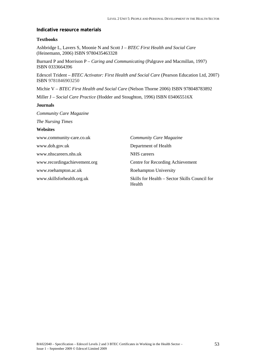#### **Indicative resource materials**

#### **Textbooks**

Ashbridge L, Lavers S, Moonie N and Scott J – *BTEC First Health and Social Care*  (Heinemann, 2006) ISBN 9780435463328

Burnard P and Morrison P – *Caring and Communicating* (Palgrave and Macmillan, 1997) ISBN 0333664396

Edexcel Trident – *BTEC Activator: First Health and Social Care* (Pearson Education Ltd, 2007) ISBN 9781846903250

Michie V – *BTEC First Health and Social Care* (Nelson Thorne 2006) ISBN 978048783892

Miller J – *Social Care Practice* (Hodder and Stoughton, 1996) ISBN 034065516X

#### **Journals**

*Community Care Magazine* 

*The Nursing Times* 

# **Websites**

| www.community-care.co.uk     | <b>Community Care Magazine</b>                          |
|------------------------------|---------------------------------------------------------|
| www.doh.gov.uk               | Department of Health                                    |
| www.nhscareers.nhs.uk        | NHS careers                                             |
| www.recordingachievement.org | Centre for Recording Achievement                        |
| www.roehampton.ac.uk         | <b>Roehampton University</b>                            |
| www.skillsforhealth.org.uk   | Skills for Health – Sector Skills Council for<br>Health |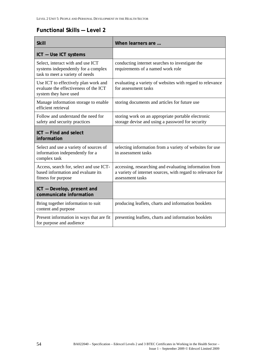# **Functional Skills — Level 2**

| <b>Skill</b>                                                                                                | When learners are                                                                                                                         |
|-------------------------------------------------------------------------------------------------------------|-------------------------------------------------------------------------------------------------------------------------------------------|
| ICT - Use ICT systems                                                                                       |                                                                                                                                           |
| Select, interact with and use ICT<br>systems independently for a complex<br>task to meet a variety of needs | conducting internet searches to investigate the<br>requirements of a named work role                                                      |
| Use ICT to effectively plan work and<br>evaluate the effectiveness of the ICT<br>system they have used      | evaluating a variety of websites with regard to relevance<br>for assessment tasks                                                         |
| Manage information storage to enable<br>efficient retrieval                                                 | storing documents and articles for future use                                                                                             |
| Follow and understand the need for<br>safety and security practices                                         | storing work on an appropriate portable electronic<br>storage devise and using a password for security                                    |
| ICT - Find and select<br>information                                                                        |                                                                                                                                           |
| Select and use a variety of sources of<br>information independently for a<br>complex task                   | selecting information from a variety of websites for use<br>in assessment tasks                                                           |
| Access, search for, select and use ICT-<br>based information and evaluate its<br>fitness for purpose        | accessing, researching and evaluating information from<br>a variety of internet sources, with regard to relevance for<br>assessment tasks |
| ICT - Develop, present and<br>communicate information                                                       |                                                                                                                                           |
| Bring together information to suit<br>content and purpose                                                   | producing leaflets, charts and information booklets                                                                                       |
| Present information in ways that are fit<br>for purpose and audience                                        | presenting leaflets, charts and information booklets                                                                                      |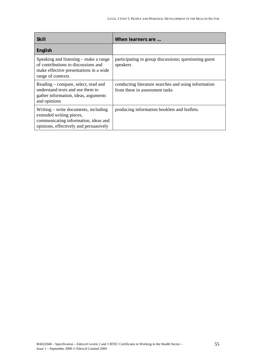| <b>Skill</b>                                                                                                                                       | When learners are                                                                      |
|----------------------------------------------------------------------------------------------------------------------------------------------------|----------------------------------------------------------------------------------------|
| English                                                                                                                                            |                                                                                        |
| Speaking and listening – make a range<br>of contributions to discussions and<br>make effective presentations in a wide<br>range of contexts        | participating in group discussions; questioning guest<br>speakers                      |
| Reading – compare, select, read and<br>understand texts and use them to<br>gather information, ideas, arguments<br>and opinions                    | conducting literature searches and using information<br>from these in assessment tasks |
| Writing – write documents, including<br>extended writing pieces,<br>communicating information, ideas and<br>opinions, effectively and persuasively | producing information booklets and leaflets.                                           |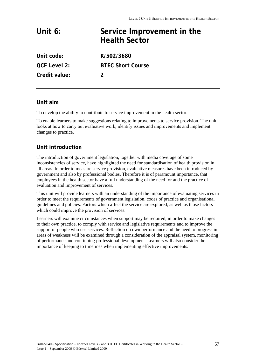# **Unit 6: Service Improvement in the Health Sector**

**Unit code: K/502/3680 QCF Level 2: BTEC Short Course Credit value: 2** 

# **Unit aim**

To develop the ability to contribute to service improvement in the health sector.

To enable learners to make suggestions relating to improvements to service provision. The unit looks at how to carry out evaluative work, identify issues and improvements and implement changes to practice.

# **Unit introduction**

The introduction of government legislation, together with media coverage of some inconsistencies of service, have highlighted the need for standardisation of health provision in all areas. In order to measure service provision, evaluative measures have been introduced by government and also by professional bodies. Therefore it is of paramount importance, that employees in the health sector have a full understanding of the need for and the practice of evaluation and improvement of services.

This unit will provide learners with an understanding of the importance of evaluating services in order to meet the requirements of government legislation, codes of practice and organisational guidelines and policies. Factors which affect the service are explored, as well as those factors which could improve the provision of services.

Learners will examine circumstances when support may be required, in order to make changes to their own practice, to comply with service and legislative requirements and to improve the support of people who use services. Reflection on own performance and the need to progress in areas of weakness will be examined through a consideration of the appraisal system, monitoring of performance and continuing professional development. Learners will also consider the importance of keeping to timelines when implementing effective improvements.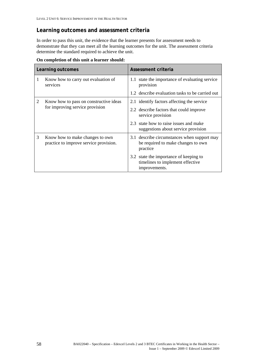# **Learning outcomes and assessment criteria**

In order to pass this unit, the evidence that the learner presents for assessment needs to demonstrate that they can meet all the learning outcomes for the unit. The assessment criteria determine the standard required to achieve the unit.

|   | Learning outcomes                                                         | Assessment criteria                                                                           |
|---|---------------------------------------------------------------------------|-----------------------------------------------------------------------------------------------|
| T | Know how to carry out evaluation of<br>services                           | 1.1 state the importance of evaluating service<br>provision                                   |
|   |                                                                           | 1.2 describe evaluation tasks to be carried out                                               |
| 2 | Know how to pass on constructive ideas<br>for improving service provision | 2.1 identify factors affecting the service                                                    |
|   |                                                                           | 2.2 describe factors that could improve<br>service provision                                  |
|   |                                                                           | 2.3 state how to raise issues and make<br>suggestions about service provision                 |
| 3 | Know how to make changes to own<br>practice to improve service provision. | 3.1 describe circumstances when support may<br>be required to make changes to own<br>practice |
|   |                                                                           | 3.2 state the importance of keeping to<br>timelines to implement effective<br>improvements.   |

**On completion of this unit a learner should:**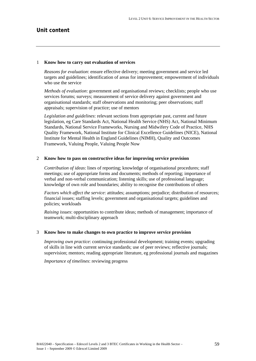#### 1 **Know how to carry out evaluation of services**

*Reasons for evaluation*: ensure effective delivery; meeting government and service led targets and guidelines; identification of areas for improvement; empowerment of individuals who use the service

*Methods of evaluation*: government and organisational reviews; checklists; people who use services forums; surveys; measurement of service delivery against government and organisational standards; staff observations and monitoring; peer observations; staff appraisals; supervision of practice; use of mentors

*Legislation and guidelines*: relevant sections from appropriate past, current and future legislation, eg Care Standards Act, National Health Service (NHS) Act, National Minimum Standards, National Service Frameworks, Nursing and Midwifery Code of Practice, NHS Quality Framework, National Institute for Clinical Excellence Guidelines (NICE), National Institute for Mental Health in England Guidelines (NIMH), Quality and Outcomes Framework, Valuing People, Valuing People Now

#### 2 **Know how to pass on constructive ideas for improving service provision**

*Contribution of ideas*: lines of reporting; knowledge of organisational procedures; staff meetings; use of appropriate forms and documents; methods of reporting; importance of verbal and non-verbal communication; listening skills; use of professional language; knowledge of own role and boundaries; ability to recognise the contributions of others

*Factors which affect the service*: attitudes; assumptions; prejudice; distribution of resources; financial issues; staffing levels; government and organisational targets; guidelines and policies; workloads

*Raising issues*: opportunities to contribute ideas; methods of management; importance of teamwork; multi-disciplinary approach

# 3 **Know how to make changes to own practice to improve service provision**

*Improving own practice*: continuing professional development; training events; upgrading of skills in line with current service standards; use of peer reviews; reflective journals; supervision; mentors; reading appropriate literature, eg professional journals and magazines

*Importance of timelines*: reviewing progress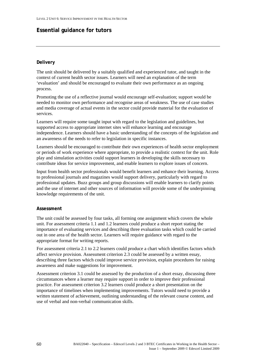# **Essential guidance for tutors**

# **Delivery**

The unit should be delivered by a suitably qualified and experienced tutor, and taught in the context of current health sector issues. Learners will need an explanation of the term 'evaluation' and should be encouraged to evaluate their own performance as an ongoing process.

Promoting the use of a reflective journal would encourage self-evaluation; support would be needed to monitor own performance and recognise areas of weakness. The use of case studies and media coverage of actual events in the sector could provide material for the evaluation of services.

Learners will require some taught input with regard to the legislation and guidelines, but supported access to appropriate internet sites will enhance learning and encourage independence. Learners should have a basic understanding of the concepts of the legislation and an awareness of the needs to refer to legislation in specific instances.

Learners should be encouraged to contribute their own experiences of health sector employment or periods of work experience where appropriate, to provide a realistic context for the unit. Role play and simulation activities could support learners in developing the skills necessary to contribute ideas for service improvement, and enable learners to explore issues of concern.

Input from health sector professionals would benefit learners and enhance their learning. Access to professional journals and magazines would support delivery, particularly with regard to professional updates. Buzz groups and group discussions will enable learners to clarify points and the use of internet and other sources of information will provide some of the underpinning knowledge requirements of the unit.

# **Assessment**

The unit could be assessed by four tasks, all forming one assignment which covers the whole unit. For assessment criteria 1.1 and 1.2 learners could produce a short report stating the importance of evaluating services and describing three evaluation tasks which could be carried out in one area of the health sector. Learners will require guidance with regard to the appropriate format for writing reports.

For assessment criteria 2.1 to 2.2 learners could produce a chart which identifies factors which affect service provision. Assessment criterion 2.3 could be assessed by a written essay, describing three factors which could improve service provision, explain procedures for raising awareness and make suggestions for improvement.

Assessment criterion 3.1 could be assessed by the production of a short essay, discussing three circumstances where a learner may require support in order to improve their professional practice. For assessment criterion 3.2 learners could produce a short presentation on the importance of timelines when implementing improvements. Tutors would need to provide a written statement of achievement, outlining understanding of the relevant course content, and use of verbal and non-verbal communication skills.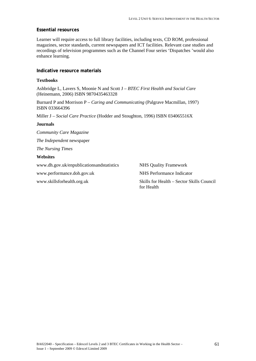# **Essential resources**

Learner will require access to full library facilities, including texts, CD ROM, professional magazines, sector standards, current newspapers and ICT facilities. Relevant case studies and recordings of television programmes such as the Channel Four series 'Dispatches 'would also enhance learning.

# **Indicative resource materials**

# **Textbooks**

Ashbridge L, Lavers S, Moonie N and Scott J – *BTEC First Health and Social Care*  (Heinemann, 2006) ISBN 9870435463328

Burnard P and Morrison P – *Caring and Communicating* (Palgrave Macmillan, 1997) ISBN 033664396

Miller J – *Social Care Practice* (Hodder and Stoughton, 1996) ISBN 034065516X

# **Journals**

*Community Care Magazine The Independent* newspaper *The Nursing Times*  **Websites** 

www.dh.gov.uk/enpublicationsandstatistics NHS Quality Framework

www.performance.doh.gov.uk NHS Performance Indicator

www.skillsforhealth.org.uk Skills for Health – Sector Skills Council for Health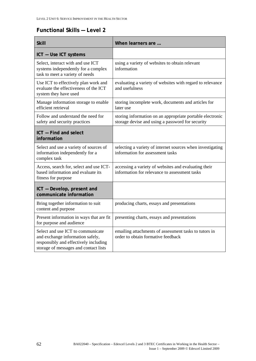# **Functional Skills — Level 2**

| <b>Skill</b>                                                                                                                                            | When learners are                                                                                             |
|---------------------------------------------------------------------------------------------------------------------------------------------------------|---------------------------------------------------------------------------------------------------------------|
| ICT - Use ICT systems                                                                                                                                   |                                                                                                               |
| Select, interact with and use ICT<br>systems independently for a complex<br>task to meet a variety of needs                                             | using a variety of websites to obtain relevant<br>information                                                 |
| Use ICT to effectively plan work and<br>evaluate the effectiveness of the ICT<br>system they have used                                                  | evaluating a variety of websites with regard to relevance<br>and usefulness                                   |
| Manage information storage to enable<br>efficient retrieval                                                                                             | storing incomplete work, documents and articles for<br>later use                                              |
| Follow and understand the need for<br>safety and security practices                                                                                     | storing information on an appropriate portable electronic<br>storage devise and using a password for security |
| ICT - Find and select<br>information                                                                                                                    |                                                                                                               |
| Select and use a variety of sources of<br>information independently for a<br>complex task                                                               | selecting a variety of internet sources when investigating<br>information for assessment tasks                |
| Access, search for, select and use ICT-<br>based information and evaluate its<br>fitness for purpose                                                    | accessing a variety of websites and evaluating their<br>information for relevance to assessment tasks         |
| ICT - Develop, present and<br>communicate information                                                                                                   |                                                                                                               |
| Bring together information to suit<br>content and purpose                                                                                               | producing charts, essays and presentations                                                                    |
| Present information in ways that are fit<br>for purpose and audience                                                                                    | presenting charts, essays and presentations                                                                   |
| Select and use ICT to communicate<br>and exchange information safely,<br>responsibly and effectively including<br>storage of messages and contact lists | emailing attachments of assessment tasks to tutors in<br>order to obtain formative feedback                   |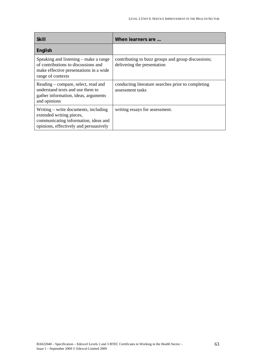| <b>Skill</b>                                                                                                                                       | When learners are                                                                 |
|----------------------------------------------------------------------------------------------------------------------------------------------------|-----------------------------------------------------------------------------------|
| English                                                                                                                                            |                                                                                   |
| Speaking and listening – make a range<br>of contributions to discussions and<br>make effective presentations in a wide<br>range of contexts        | contributing to buzz groups and group discussions;<br>delivering the presentation |
| Reading – compare, select, read and<br>understand texts and use them to<br>gather information, ideas, arguments<br>and opinions                    | conducting literature searches prior to completing<br>assessment tasks            |
| Writing – write documents, including<br>extended writing pieces,<br>communicating information, ideas and<br>opinions, effectively and persuasively | writing essays for assessment.                                                    |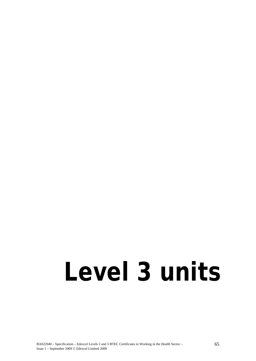# **Level 3 units**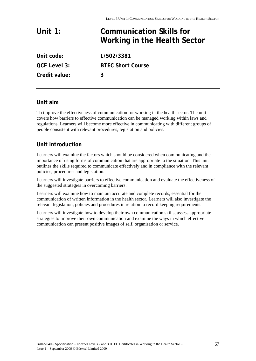# **Unit 1: Communication Skills for Working in the Health Sector Unit code: L/502/3381**

**QCF Level 3: BTEC Short Course Credit value: 3** 

# **Unit aim**

To improve the effectiveness of communication for working in the health sector. The unit covers how barriers to effective communication can be managed working within laws and regulations. Learners will become more effective in communicating with different groups of people consistent with relevant procedures, legislation and policies.

# **Unit introduction**

Learners will examine the factors which should be considered when communicating and the importance of using forms of communication that are appropriate to the situation. This unit outlines the skills required to communicate effectively and in compliance with the relevant policies, procedures and legislation.

Learners will investigate barriers to effective communication and evaluate the effectiveness of the suggested strategies in overcoming barriers.

Learners will examine how to maintain accurate and complete records, essential for the communication of written information in the health sector. Learners will also investigate the relevant legislation, policies and procedures in relation to record keeping requirements.

Learners will investigate how to develop their own communication skills, assess appropriate strategies to improve their own communication and examine the ways in which effective communication can present positive images of self, organisation or service.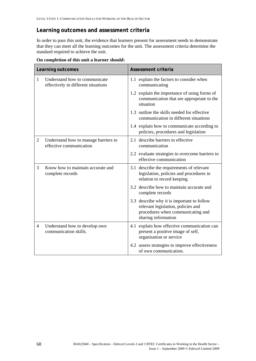# **Learning outcomes and assessment criteria**

In order to pass this unit, the evidence that learners present for assessment needs to demonstrate that they can meet all the learning outcomes for the unit. The assessment criteria determine the standard required to achieve the unit.

|              | Learning outcomes                                                    | Assessment criteria                                                                                                                          |
|--------------|----------------------------------------------------------------------|----------------------------------------------------------------------------------------------------------------------------------------------|
| $\mathbf{1}$ | Understand how to communicate<br>effectively in different situations | 1.1 explain the factors to consider when<br>communicating                                                                                    |
|              |                                                                      | 1.2 explain the importance of using forms of<br>communication that are appropriate to the<br>situation                                       |
|              |                                                                      | 1.3 outline the skills needed for effective<br>communication in different situations                                                         |
|              |                                                                      | 1.4 explain how to communicate according to<br>policies, procedures and legislation                                                          |
| 2            | Understand how to manage barriers to<br>effective communication      | 2.1 describe barriers to effective<br>communication                                                                                          |
|              |                                                                      | 2.2 evaluate strategies to overcome barriers to<br>effective communication                                                                   |
| 3            | Know how to maintain accurate and<br>complete records                | 3.1 describe the requirements of relevant<br>legislation, policies and procedures in<br>relation to record keeping                           |
|              |                                                                      | 3.2 describe how to maintain accurate and<br>complete records                                                                                |
|              |                                                                      | 3.3 describe why it is important to follow<br>relevant legislation, policies and<br>procedures when communicating and<br>sharing information |
| 4            | Understand how to develop own<br>communication skills.               | 4.1 explain how effective communication can<br>present a positive image of self,<br>organisation or service                                  |
|              |                                                                      | 4.2 assess strategies to improve effectiveness<br>of own communication.                                                                      |

**On completion of this unit a learner should:**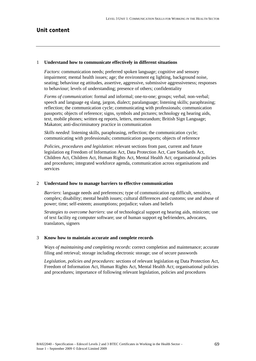# **Unit content**

#### 1 **Understand how to communicate effectively in different situations**

*Factors*: communication needs; preferred spoken language; cognitive and sensory impairment; mental health issues; age; the environment eg lighting, background noise, seating; behaviour eg attitudes, assertive, aggressive, submissive aggressiveness; responses to behaviour; levels of understanding; presence of others; confidentiality

*Forms of communication*: formal and informal; one-to-one; groups; verbal; non-verbal; speech and language eg slang, jargon, dialect; paralanguage; listening skills; paraphrasing; reflection; the communication cycle; communicating with professionals; communication passports; objects of reference; signs, symbols and pictures; technology eg hearing aids, text, mobile phones; written eg reports, letters, memorandum; British Sign Language; Makaton; anti-discriminatory practice in communication

*Skills needed*: listening skills, paraphrasing, reflection; the communication cycle; communicating with professionals; communication passports; objects of reference

*Policies, procedures and legislation*: relevant sections from past, current and future legislation eg Freedom of Information Act, Data Protection Act, Care Standards Act, Children Act, Children Act, Human Rights Act, Mental Health Act; organisational policies and procedures; integrated workforce agenda, communication across organisations and services

#### 2 **Understand how to manage barriers to effective communication**

*Barriers*: language needs and preferences; type of communication eg difficult, sensitive, complex; disability; mental health issues; cultural differences and customs; use and abuse of power; time; self-esteem; assumptions; prejudice; values and beliefs

*Strategies to overcome barriers*: use of technological support eg hearing aids, minicom; use of text facility eg computer software; use of human support eg befrienders, advocates, translators, signers

#### 3 **Know how to maintain accurate and complete records**

*Ways of maintaining and completing records*: correct completion and maintenance; accurate filing and retrieval; storage including electronic storage; use of secure passwords

*Legislation, policies and procedures*: sections of relevant legislation eg Data Protection Act, Freedom of Information Act, Human Rights Act, Mental Health Act; organisational policies and procedures; importance of following relevant legislation, policies and procedures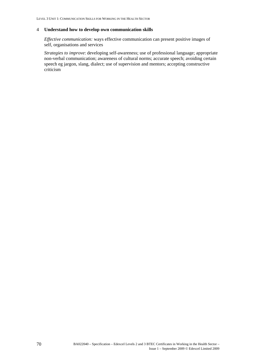#### 4 **Understand how to develop own communication skills**

*Effective communication:* ways effective communication can present positive images of self, organisations and services

*Strategies to improve*: developing self-awareness; use of professional language; appropriate non-verbal communication; awareness of cultural norms; accurate speech; avoiding certain speech eg jargon, slang, dialect; use of supervision and mentors; accepting constructive criticism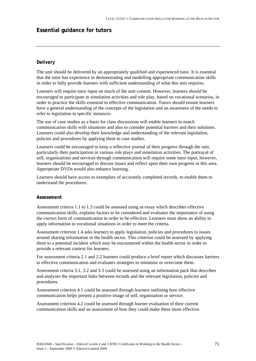# **Essential guidance for tutors**

# **Delivery**

The unit should be delivered by an appropriately qualified and experienced tutor. It is essential that the tutor has experience in demonstrating and modelling appropriate communication skills in order to fully provide learners with sufficient understanding of what this unit requires.

Learners will require tutor input on much of the unit content. However, learners should be encouraged to participate in simulation activities and role play, based on vocational scenarios, in order to practice the skills essential to effective communication. Tutors should ensure learners have a general understanding of the concepts of the legislation and an awareness of the needs to refer to legislation in specific instances.

The use of case studies as a basis for class discussions will enable learners to match communication skills with situations and also to consider potential barriers and their solutions. Learners could also develop their knowledge and understanding of the relevant legislation, policies and procedures by applying them to case studies.

Learners could be encouraged to keep a reflective journal of their progress through the unit, particularly their participation in various role plays and simulation activities. The portrayal of self, organisations and services through communication will require some tutor input, however, learners should be encouraged to discuss issues and reflect upon their own progress in this area. Appropriate DVDs would also enhance learning.

Learners should have access to exemplars of accurately completed records, to enable them to understand the procedures.

#### **Assessment**

Assessment criteria 1.1 to 1.3 could be assessed using as essay which describes effective communication skills, explains factors to be considered and evaluates the importance of using the correct form of communication in order to be effective. Learners must show an ability to apply information to vocational situations in order to meet the criteria.

Assessment criterion 1.4 asks learners to apply legislation, policies and procedures to issues around sharing information in the health sector. This criterion could be assessed by applying them to a potential incident which may be encountered within the health sector in order to provide a relevant context for learners.

For assessment criteria 2.1 and 2.2 learners could produce a brief report which discusses barriers to effective communication and evaluates strategies to minimise or overcome them.

Assessment criteria 3.1, 3.2 and 3.3 could be assessed using an information pack that describes and analyses the important links between records and the relevant legislation, policies and procedures.

Assessment criterion 4.1 could be assessed through learners outlining how effective communication helps present a positive image of self, organisation or service.

Assessment criterion 4.2 could be assessed through learner evaluation of their current communication skills and an assessment of how they could make these more effective.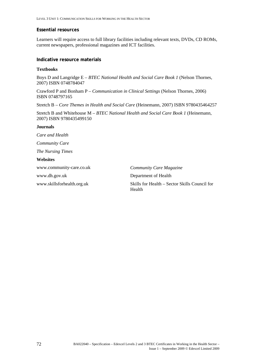# **Essential resources**

Learners will require access to full library facilities including relevant texts, DVDs, CD ROMs, current newspapers, professional magazines and ICT facilities.

# **Indicative resource materials**

### **Textbooks**

Boys D and Langridge E – *BTEC National Health and Social Care Book 1* (Nelson Thornes, 2007) ISBN 0748784047

Crawford P and Bonham P – *Communication in Clinical Settings* (Nelson Thornes, 2006) ISBN 0748797165

Stretch B – *Core Themes in Health and Social Care* (Heinemann, 2007) ISBN 9780435464257

Stretch B and Whitehouse M – *BTEC National Health and Social Care Book 1* (Heinemann, 2007) ISBN 9780435499150

#### **Journals**

*Care and Health Community Care The Nursing Times*  **Websites**  www.dh.gov.uk Department of Health

www.community-care.co.uk *Community Care Magazine* 

www.skillsforhealth.org.uk Skills for Health – Sector Skills Council for Health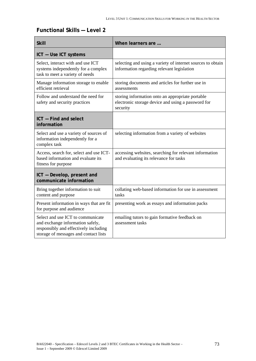# **Functional Skills — Level 2**

| <b>Skill</b>                                                                                                                                            | When learners are                                                                                                  |
|---------------------------------------------------------------------------------------------------------------------------------------------------------|--------------------------------------------------------------------------------------------------------------------|
| ICT - Use ICT systems                                                                                                                                   |                                                                                                                    |
| Select, interact with and use ICT<br>systems independently for a complex<br>task to meet a variety of needs                                             | selecting and using a variety of internet sources to obtain<br>information regarding relevant legislation          |
| Manage information storage to enable<br>efficient retrieval                                                                                             | storing documents and articles for further use in<br>assessments                                                   |
| Follow and understand the need for<br>safety and security practices                                                                                     | storing information onto an appropriate portable<br>electronic storage device and using a password for<br>security |
| ICT - Find and select<br>information                                                                                                                    |                                                                                                                    |
| Select and use a variety of sources of<br>information independently for a<br>complex task                                                               | selecting information from a variety of websites                                                                   |
| Access, search for, select and use ICT-<br>based information and evaluate its<br>fitness for purpose                                                    | accessing websites, searching for relevant information<br>and evaluating its relevance for tasks                   |
| ICT - Develop, present and<br>communicate information                                                                                                   |                                                                                                                    |
| Bring together information to suit<br>content and purpose                                                                                               | collating web-based information for use in assessment<br>tasks                                                     |
| Present information in ways that are fit<br>for purpose and audience                                                                                    | presenting work as essays and information packs                                                                    |
| Select and use ICT to communicate<br>and exchange information safely,<br>responsibly and effectively including<br>storage of messages and contact lists | emailing tutors to gain formative feedback on<br>assessment tasks                                                  |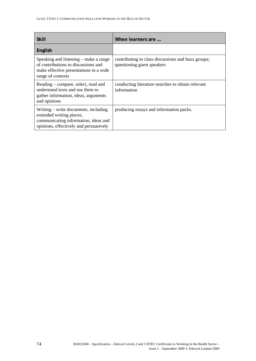| <b>Skill</b>                                                                                                                                       | When learners are                                                                |
|----------------------------------------------------------------------------------------------------------------------------------------------------|----------------------------------------------------------------------------------|
| English                                                                                                                                            |                                                                                  |
| Speaking and listening – make a range<br>of contributions to discussions and<br>make effective presentations in a wide<br>range of contexts        | contributing to class discussions and buzz groups;<br>questioning guest speakers |
| Reading – compare, select, read and<br>understand texts and use them to<br>gather information, ideas, arguments<br>and opinions                    | conducting literature searches to obtain relevant<br>information                 |
| Writing – write documents, including<br>extended writing pieces,<br>communicating information, ideas and<br>opinions, effectively and persuasively | producing essays and information packs.                                          |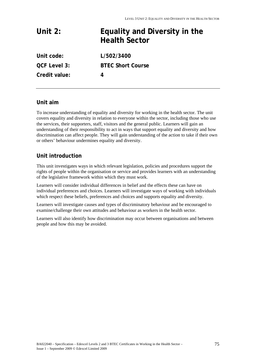| Unit $2:$           | Equality and Diversity in the<br><b>Health Sector</b> |
|---------------------|-------------------------------------------------------|
| Unit code:          | L/502/3400                                            |
| <b>QCF Level 3:</b> | <b>BTEC Short Course</b>                              |
| Credit value:       | 4                                                     |

# **Unit aim**

To increase understanding of equality and diversity for working in the health sector. The unit covers equality and diversity in relation to everyone within the sector, including those who use the services, their supporters, staff, visitors and the general public. Learners will gain an understanding of their responsibility to act in ways that support equality and diversity and how discrimination can affect people. They will gain understanding of the action to take if their own or others' behaviour undermines equality and diversity.

# **Unit introduction**

This unit investigates ways in which relevant legislation, policies and procedures support the rights of people within the organisation or service and provides learners with an understanding of the legislative framework within which they must work.

Learners will consider individual differences in belief and the effects these can have on individual preferences and choices. Learners will investigate ways of working with individuals which respect these beliefs, preferences and choices and supports equality and diversity.

Learners will investigate causes and types of discriminatory behaviour and be encouraged to examine/challenge their own attitudes and behaviour as workers in the health sector.

Learners will also identify how discrimination may occur between organisations and between people and how this may be avoided.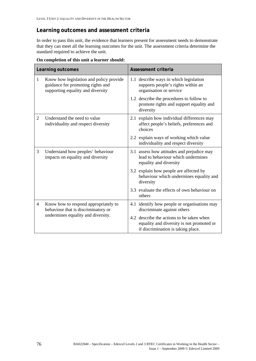# **Learning outcomes and assessment criteria**

In order to pass this unit, the evidence that learners present for assessment needs to demonstrate that they can meet all the learning outcomes for the unit. The assessment criteria determine the standard required to achieve the unit.

| Learning outcomes |                                                                                                                   | Assessment criteria                                                                                                          |
|-------------------|-------------------------------------------------------------------------------------------------------------------|------------------------------------------------------------------------------------------------------------------------------|
| $\mathbf{1}$      | Know how legislation and policy provide<br>guidance for promoting rights and<br>supporting equality and diversity | 1.1 describe ways in which legislation<br>supports people's rights within an<br>organisation or service                      |
|                   |                                                                                                                   | 1.2 describe the procedures to follow to<br>promote rights and support equality and<br>diversity                             |
| 2                 | Understand the need to value<br>individuality and respect diversity                                               | 2.1 explain how individual differences may<br>affect people's beliefs, preferences and<br>choices                            |
|                   |                                                                                                                   | 2.2 explain ways of working which value<br>individuality and respect diversity                                               |
| 3                 | Understand how peoples' behaviour<br>impacts on equality and diversity                                            | 3.1 assess how attitudes and prejudice may<br>lead to behaviour which undermines<br>equality and diversity                   |
|                   |                                                                                                                   | 3.2 explain how people are affected by<br>behaviour which undermines equality and<br>diversity                               |
|                   |                                                                                                                   | 3.3 evaluate the effects of own behaviour on<br>others                                                                       |
| $\overline{4}$    | Know how to respond appropriately to<br>behaviour that is discriminatory or<br>undermines equality and diversity. | 4.1 identify how people or organisations may<br>discriminate against others                                                  |
|                   |                                                                                                                   | 4.2 describe the actions to be taken when<br>equality and diversity is not promoted or<br>if discrimination is taking place. |

**On completion of this unit a learner should:**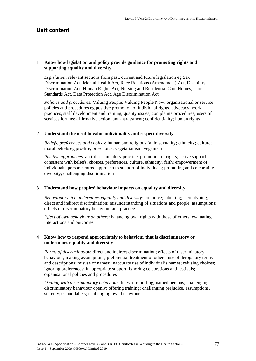# **Unit content**

# 1 **Know how legislation and policy provide guidance for promoting rights and supporting equality and diversity**

*Legislation*: relevant sections from past, current and future legislation eg Sex Discrimination Act, Mental Health Act, Race Relations (Amendment) Act, Disability Discrimination Act, Human Rights Act, Nursing and Residential Care Homes, Care Standards Act, Data Protection Act, Age Discrimination Act

*Policies and procedures*: Valuing People; Valuing People Now; organisational or service policies and procedures eg positive promotion of individual rights, advocacy, work practices, staff development and training, quality issues, complaints procedures; users of services forums; affirmative action; anti-harassment; confidentiality; human rights

### 2 **Understand the need to value individuality and respect diversity**

*Beliefs, preferences and choices*: humanism; religious faith; sexuality; ethnicity; culture; moral beliefs eg pro-life, pro-choice, vegetarianism, veganism

*Positive approaches*: anti-discriminatory practice; promotion of rights; active support consistent with beliefs, choices, preferences, culture, ethnicity, faith; empowerment of individuals; person centred approach to support of individuals; promoting and celebrating diversity; challenging discrimination

#### 3 **Understand how peoples' behaviour impacts on equality and diversity**

*Behaviour which undermines equality and diversity*: prejudice; labelling; stereotyping; direct and indirect discrimination; misunderstanding of situations and people, assumptions; effects of discriminatory behaviour and practice

*Effect of own behaviour on others*: balancing own rights with those of others; evaluating interactions and outcomes

# 4 **Know how to respond appropriately to behaviour that is discriminatory or undermines equality and diversity**

*Forms of discrimination*: direct and indirect discrimination; effects of discriminatory behaviour; making assumptions; preferential treatment of others; use of derogatory terms and descriptions; misuse of names; inaccurate use of individual's names; refusing choices; ignoring preferences; inappropriate support; ignoring celebrations and festivals; organisational policies and procedures

*Dealing with discriminatory behaviour*: lines of reporting; named persons; challenging discriminatory behaviour openly; offering training; challenging prejudice, assumptions, stereotypes and labels; challenging own behaviour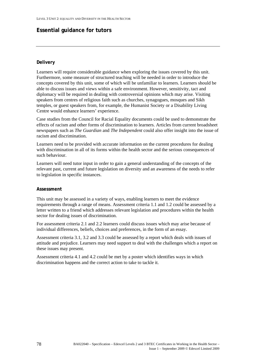# **Essential guidance for tutors**

# **Delivery**

Learners will require considerable guidance when exploring the issues covered by this unit. Furthermore, some measure of structured teaching will be needed in order to introduce the concepts covered by this unit, some of which will be unfamiliar to learners. Learners should be able to discuss issues and views within a safe environment. However, sensitivity, tact and diplomacy will be required in dealing with controversial opinions which may arise. Visiting speakers from centres of religious faith such as churches, synagogues, mosques and Sikh temples, or guest speakers from, for example, the Humanist Society or a Disability Living Centre would enhance learners' experience.

Case studies from the Council for Racial Equality documents could be used to demonstrate the effects of racism and other forms of discrimination to learners. Articles from current broadsheet newspapers such as *The Guardian* and *The Independent* could also offer insight into the issue of racism and discrimination.

Learners need to be provided with accurate information on the current procedures for dealing with discrimination in all of its forms within the health sector and the serious consequences of such behaviour.

Learners will need tutor input in order to gain a general understanding of the concepts of the relevant past, current and future legislation on diversity and an awareness of the needs to refer to legislation in specific instances.

# **Assessment**

This unit may be assessed in a variety of ways, enabling learners to meet the evidence requirements through a range of means. Assessment criteria 1.1 and 1.2 could be assessed by a letter written to a friend which addresses relevant legislation and procedures within the health sector for dealing issues of discrimination.

For assessment criteria 2.1 and 2.2 learners could discuss issues which may arise because of individual differences, beliefs, choices and preferences, in the form of an essay.

Assessment criteria 3.1, 3.2 and 3.3 could be assessed by a report which deals with issues of attitude and prejudice. Learners may need support to deal with the challenges which a report on these issues may present.

Assessment criteria 4.1 and 4.2 could be met by a poster which identifies ways in which discrimination happens and the correct action to take to tackle it.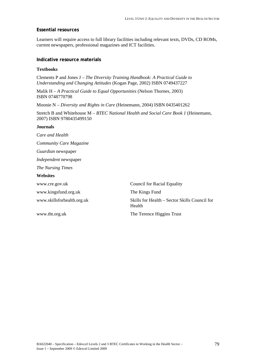# **Essential resources**

Learners will require access to full library facilities including relevant texts, DVDs, CD ROMs, current newspapers, professional magazines and ICT facilities.

# **Indicative resource materials**

### **Textbooks**

Clements P and Jones J – *The Diversity Training Handbook: A Practical Guide to Understanding and Changing Attitudes* (Kogan Page, 2002) ISBN 0749437227

Malik H – *A Practical Guide to Equal Opportunities* (Nelson Thornes, 2003) ISBN 0748770798

Moonie N – *Diversity and Rights in Care* (Heinemann, 2004) ISBN 0435401262

Stretch B and Whitehouse M – *BTEC National Health and Social Care Book 1* (Heinemann, 2007) ISBN 9780435499150

### **Journals**

*Care and Health* 

*Community Care Magazine* 

*Guardian* newspaper

*Independent* newspaper

*The Nursing Times* 

#### **Websites**

www.cre.gov.uk Council for Racial Equality www.kingsfund.org.uk The Kings Fund www.skillsforhealth.org.uk Skills for Health – Sector Skills Council for Health www.tht.org.uk The Terence Higgins Trust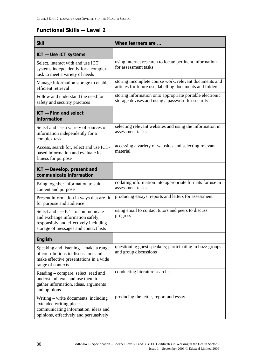# **Functional Skills — Level 2**

| <b>Skill</b>                                                                                                                                            | When learners are                                                                                                  |
|---------------------------------------------------------------------------------------------------------------------------------------------------------|--------------------------------------------------------------------------------------------------------------------|
| ICT - Use ICT systems                                                                                                                                   |                                                                                                                    |
| Select, interact with and use ICT<br>systems independently for a complex<br>task to meet a variety of needs                                             | using internet research to locate pertinent information<br>for assessment tasks                                    |
| Manage information storage to enable<br>efficient retrieval                                                                                             | storing incomplete course work, relevant documents and<br>articles for future use, labelling documents and folders |
| Follow and understand the need for<br>safety and security practices                                                                                     | storing information onto appropriate portable electronic<br>storage devises and using a password for security      |
| ICT - Find and select<br>information                                                                                                                    |                                                                                                                    |
| Select and use a variety of sources of<br>information independently for a<br>complex task                                                               | selecting relevant websites and using the information in<br>assessment tasks                                       |
| Access, search for, select and use ICT-<br>based information and evaluate its<br>fitness for purpose                                                    | accessing a variety of websites and selecting relevant<br>material                                                 |
| ICT - Develop, present and<br>communicate information                                                                                                   |                                                                                                                    |
| Bring together information to suit<br>content and purpose                                                                                               | collating information into appropriate formats for use in<br>assessment tasks                                      |
| Present information in ways that are fit<br>for purpose and audience                                                                                    | producing essays, reports and letters for assessment                                                               |
| Select and use ICT to communicate<br>and exchange information safely,<br>responsibly and effectively including<br>storage of messages and contact lists | using email to contact tutors and peers to discuss<br>progress                                                     |
| English                                                                                                                                                 |                                                                                                                    |
| Speaking and listening - make a range<br>of contributions to discussions and<br>make effective presentations in a wide<br>range of contexts             | questioning guest speakers; participating in buzz groups<br>and group discussions                                  |
| Reading – compare, select, read and<br>understand texts and use them to<br>gather information, ideas, arguments<br>and opinions                         | conducting literature searches                                                                                     |
| Writing – write documents, including<br>extended writing pieces,<br>communicating information, ideas and<br>opinions, effectively and persuasively      | producing the letter, report and essay.                                                                            |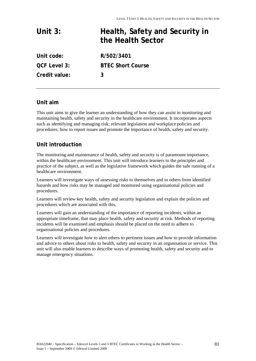| Unit $3:$           | Health, Safety and Security in<br>the Health Sector |
|---------------------|-----------------------------------------------------|
| Unit code:          | R/502/3401                                          |
| <b>QCF Level 3:</b> | <b>BTEC Short Course</b>                            |
| Credit value:       | 3                                                   |

# **Unit aim**

This unit aims to give the learner an understanding of how they can assist in monitoring and maintaining health, safety and security in the healthcare environment. It incorporates aspects such as identifying and managing risk; relevant legislation and workplace policies and procedures; how to report issues and promote the importance of health, safety and security.

# **Unit introduction**

The monitoring and maintenance of health, safety and security is of paramount importance, within the healthcare environment. This unit will introduce learners to the principles and practice of the subject, as well as the legislative framework which guides the safe running of a healthcare environment.

Learners will investigate ways of assessing risks to themselves and to others from identified hazards and how risks may be managed and monitored using organisational policies and procedures.

Learners will review key health, safety and security legislation and explain the policies and procedures which are associated with this.

Learners will gain an understanding of the importance of reporting incidents, within an appropriate timeframe, that may place health, safety and security at risk. Methods of reporting incidents will be examined and emphasis should be placed on the need to adhere to organisational policies and procedures.

Learners will investigate how to alert others to pertinent issues and how to provide information and advice to others about risks to health, safety and security in an organisation or service. This unit will also enable learners to describe ways of promoting health, safety and security and to manage emergency situations.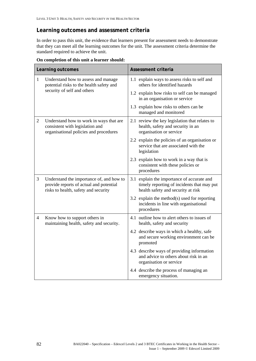# **Learning outcomes and assessment criteria**

In order to pass this unit, the evidence that learners present for assessment needs to demonstrate that they can meet all the learning outcomes for the unit. The assessment criteria determine the standard required to achieve the unit.

|                | Learning outcomes                                                                                                           | Assessment criteria                                                                                                            |
|----------------|-----------------------------------------------------------------------------------------------------------------------------|--------------------------------------------------------------------------------------------------------------------------------|
| $\mathbf{1}$   | Understand how to assess and manage<br>potential risks to the health safety and<br>security of self and others              | 1.1 explain ways to assess risks to self and<br>others for identified hazards                                                  |
|                |                                                                                                                             | 1.2 explain how risks to self can be managed<br>in an organisation or service                                                  |
|                |                                                                                                                             | 1.3 explain how risks to others can be<br>managed and monitored                                                                |
| $\overline{c}$ | Understand how to work in ways that are<br>consistent with legislation and<br>organisational policies and procedures        | 2.1 review the key legislation that relates to<br>health, safety and security in an<br>organisation or service                 |
|                |                                                                                                                             | 2.2 explain the policies of an organisation or<br>service that are associated with the<br>legislation                          |
|                |                                                                                                                             | 2.3 explain how to work in a way that is<br>consistent with these policies or<br>procedures                                    |
| 3              | Understand the importance of, and how to<br>provide reports of actual and potential<br>risks to health, safety and security | 3.1 explain the importance of accurate and<br>timely reporting of incidents that may put<br>health safety and security at risk |
|                |                                                                                                                             | 3.2 explain the method(s) used for reporting<br>incidents in line with organisational<br>procedures                            |
| 4              | Know how to support others in<br>maintaining health, safety and security.                                                   | 4.1 outline how to alert others to issues of<br>health, safety and security                                                    |
|                |                                                                                                                             | 4.2 describe ways in which a healthy, safe<br>and secure working environment can be<br>promoted                                |
|                |                                                                                                                             | 4.3 describe ways of providing information<br>and advice to others about risk in an<br>organisation or service                 |
|                |                                                                                                                             | 4.4 describe the process of managing an<br>emergency situation.                                                                |

**On completion of this unit a learner should:**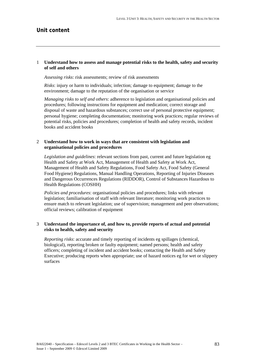# **Unit content**

# 1 **Understand how to assess and manage potential risks to the health, safety and security of self and others**

*Assessing risks*: risk assessments; review of risk assessments

*Risks*: injury or harm to individuals; infection; damage to equipment; damage to the environment; damage to the reputation of the organisation or service

*Managing risks to self and others*: adherence to legislation and organisational policies and procedures; following instructions for equipment and medication; correct storage and disposal of waste and hazardous substances; correct use of personal protective equipment; personal hygiene; completing documentation; monitoring work practices; regular reviews of potential risks, policies and procedures; completion of health and safety records, incident books and accident books

# 2 **Understand how to work in ways that are consistent with legislation and organisational policies and procedures**

*Legislation and guidelines*: relevant sections from past, current and future legislation eg Health and Safety at Work Act, Management of Health and Safety at Work Act, Management of Health and Safety Regulations, Food Safety Act, Food Safety (General Food Hygiene) Regulations, Manual Handling Operations, Reporting of Injuries Diseases and Dangerous Occurrences Regulations (RIDDOR), Control of Substances Hazardous to Health Regulations (COSHH)

*Policies and procedures*: organisational policies and procedures; links with relevant legislation; familiarisation of staff with relevant literature; monitoring work practices to ensure match to relevant legislation; use of supervision; management and peer observations; official reviews; calibration of equipment

# 3 **Understand the importance of, and how to, provide reports of actual and potential risks to health, safety and security**

*Reporting risks*: accurate and timely reporting of incidents eg spillages (chemical, biological), reporting broken or faulty equipment; named persons; health and safety officers; completing of incident and accident books; contacting the Health and Safety Executive; producing reports when appropriate; use of hazard notices eg for wet or slippery surfaces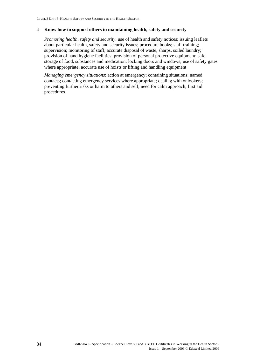# 4 **Know how to support others in maintaining health, safety and security**

*Promoting health, safety and security*: use of health and safety notices; issuing leaflets about particular health, safety and security issues; procedure books; staff training; supervision; monitoring of staff; accurate disposal of waste, sharps, soiled laundry; provision of hand hygiene facilities; provision of personal protective equipment; safe storage of food, substances and medication; locking doors and windows; use of safety gates where appropriate; accurate use of hoists or lifting and handling equipment

*Managing emergency situations*: action at emergency; containing situations; named contacts; contacting emergency services where appropriate; dealing with onlookers; preventing further risks or harm to others and self; need for calm approach; first aid procedures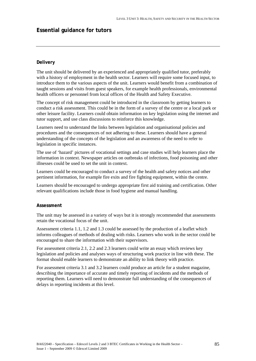# **Essential guidance for tutors**

# **Delivery**

The unit should be delivered by an experienced and appropriately qualified tutor, preferably with a history of employment in the health sector. Learners will require some focused input, to introduce them to the various aspects of the unit. Learners would benefit from a combination of taught sessions and visits from guest speakers, for example health professionals, environmental health officers or personnel from local offices of the Health and Safety Executive.

The concept of risk management could be introduced in the classroom by getting learners to conduct a risk assessment. This could be in the form of a survey of the centre or a local park or other leisure facility. Learners could obtain information on key legislation using the internet and tutor support, and use class discussions to reinforce this knowledge.

Learners need to understand the links between legislation and organisational policies and procedures and the consequences of not adhering to these. Learners should have a general understanding of the concepts of the legislation and an awareness of the need to refer to legislation in specific instances.

The use of 'hazard' pictures of vocational settings and case studies will help learners place the information in context. Newspaper articles on outbreaks of infections, food poisoning and other illnesses could be used to set the unit in context.

Learners could be encouraged to conduct a survey of the health and safety notices and other pertinent information, for example fire exits and fire fighting equipment, within the centre.

Learners should be encouraged to undergo appropriate first aid training and certification. Other relevant qualifications include those in food hygiene and manual handling.

# **Assessment**

The unit may be assessed in a variety of ways but it is strongly recommended that assessments retain the vocational focus of the unit.

Assessment criteria 1.1, 1.2 and 1.3 could be assessed by the production of a leaflet which informs colleagues of methods of dealing with risks. Learners who work in the sector could be encouraged to share the information with their supervisors.

For assessment criteria 2.1, 2.2 and 2.3 learners could write an essay which reviews key legislation and policies and analyses ways of structuring work practice in line with these. The format should enable learners to demonstrate an ability to link theory with practice.

For assessment criteria 3.1 and 3.2 learners could produce an article for a student magazine, describing the importance of accurate and timely reporting of incidents and the methods of reporting them. Learners will need to demonstrate full understanding of the consequences of delays in reporting incidents at this level.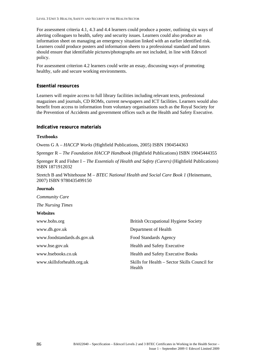For assessment criteria 4.1, 4.3 and 4.4 learners could produce a poster, outlining six ways of alerting colleagues to health, safety and security issues. Learners could also produce an information sheet on managing an emergency situation linked with an earlier identified risk. Learners could produce posters and information sheets to a professional standard and tutors should ensure that identifiable pictures/photographs are not included, in line with Edexcel policy.

For assessment criterion 4.2 learners could write an essay, discussing ways of promoting healthy, safe and secure working environments.

# **Essential resources**

Learners will require access to full library facilities including relevant texts, professional magazines and journals, CD ROMs, current newspapers and ICT facilities. Learners would also benefit from access to information from voluntary organisations such as the Royal Society for the Prevention of Accidents and government offices such as the Health and Safety Executive.

# **Indicative resource materials**

# **Textbooks**

Owens G A – *HACCP Works* (Highfield Publications, 2005) ISBN 1904544363

Sprenger R – *The Foundation HACCP Handbook* (Highfield Publications) ISBN 19045444355

Sprenger R and Fisher I – *The Essentials of Health and Safety (Carers)* (Highfield Publications) ISBN 1871912032

Stretch B and Whitehouse M – *BTEC National Health and Social Care Book 1* (Heinemann, 2007) ISBN 9780435499150

#### **Journals**

*Community Care The Nursing Times*  **Websites**  www.bohs.org **British Occupational Hygiene Society** www.dh.gov.uk Department of Health www.foodstandards.ds.gov.uk Food Standards Agency www.hse.gov.uk Health and Safety Executive www.hsebooks.co.uk Health and Safety Executive Books www.skillsforhealth.org.uk Skills for Health – Sector Skills Council for Health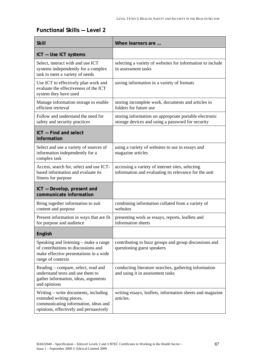# **Functional Skills — Level 2**

| <b>Skill</b>                                                                                                                                       | When learners are                                                                                           |
|----------------------------------------------------------------------------------------------------------------------------------------------------|-------------------------------------------------------------------------------------------------------------|
| ICT - Use ICT systems                                                                                                                              |                                                                                                             |
| Select, interact with and use ICT<br>systems independently for a complex<br>task to meet a variety of needs                                        | selecting a variety of websites for information to include<br>in assessment tasks                           |
| Use ICT to effectively plan work and<br>evaluate the effectiveness of the ICT<br>system they have used                                             | saving information in a variety of formats                                                                  |
| Manage information storage to enable<br>efficient retrieval                                                                                        | storing incomplete work, documents and articles in<br>folders for future use                                |
| Follow and understand the need for<br>safety and security practices                                                                                | storing information on appropriate portable electronic<br>storage devices and using a password for security |
| ICT - Find and select<br>information                                                                                                               |                                                                                                             |
| Select and use a variety of sources of<br>information independently for a<br>complex task                                                          | using a variety of websites to use in essays and<br>magazine articles                                       |
| Access, search for, select and use ICT-<br>based information and evaluate its<br>fitness for purpose                                               | accessing a variety of internet sites, selecting<br>information and evaluating its relevance for the unit   |
| ICT - Develop, present and<br>communicate information                                                                                              |                                                                                                             |
| Bring together information to suit<br>content and purpose                                                                                          | combining information collated from a variety of<br>websites                                                |
| Present information in ways that are fit<br>for purpose and audience                                                                               | presenting work as essays, reports, leaflets and<br>information sheets                                      |
| English                                                                                                                                            |                                                                                                             |
| Speaking and listening – make a range<br>of contributions to discussions and<br>make effective presentations in a wide<br>range of contexts        | contributing to buzz groups and group discussions and<br>questioning guest speakers                         |
| Reading – compare, select, read and<br>understand texts and use them to<br>gather information, ideas, arguments<br>and opinions                    | conducting literature searches, gathering information<br>and using it in assessment tasks                   |
| Writing – write documents, including<br>extended writing pieces,<br>communicating information, ideas and<br>opinions, effectively and persuasively | writing essays, leaflets, information sheets and magazine<br>articles.                                      |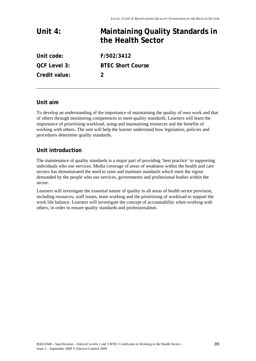| Unit $4:$           | <b>Maintaining Quality Standards in</b><br>the Health Sector |
|---------------------|--------------------------------------------------------------|
| Unit code:          | F/502/3412                                                   |
| <b>QCF Level 3:</b> | <b>BTEC Short Course</b>                                     |
| Credit value:       |                                                              |

# **Unit aim**

To develop an understanding of the importance of maintaining the quality of own work and that of others through monitoring competences to meet quality standards. Learners will learn the importance of prioritising workload, using and maintaining resources and the benefits of working with others. The unit will help the learner understand how legislation, policies and procedures determine quality standards.

# **Unit introduction**

The maintenance of quality standards is a major part of providing 'best practice' in supporting individuals who use services. Media coverage of areas of weakness within the health and care sectors has demonstrated the need to raise and maintain standards which meet the rigour demanded by the people who use services, governments and professional bodies within the sector.

Learners will investigate the essential nature of quality in all areas of health sector provision, including resources, staff issues, team working and the prioritising of workload to support the work life balance. Learners will investigate the concept of accountability when working with others, in order to ensure quality standards and professionalism.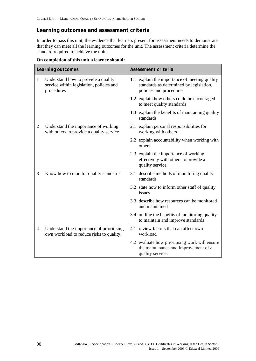# **Learning outcomes and assessment criteria**

In order to pass this unit, the evidence that learners present for assessment needs to demonstrate that they can meet all the learning outcomes for the unit. The assessment criteria determine the standard required to achieve the unit.

|                | Learning outcomes                                                                             | <b>Assessment criteria</b>                                                                                          |
|----------------|-----------------------------------------------------------------------------------------------|---------------------------------------------------------------------------------------------------------------------|
| $\mathbf{1}$   | Understand how to provide a quality<br>service within legislation, policies and<br>procedures | 1.1 explain the importance of meeting quality<br>standards as determined by legislation,<br>policies and procedures |
|                |                                                                                               | 1.2 explain how others could be encouraged<br>to meet quality standards                                             |
|                |                                                                                               | 1.3 explain the benefits of maintaining quality<br>standards                                                        |
| 2              | Understand the importance of working<br>with others to provide a quality service              | 2.1 explain personal responsibilities for<br>working with others                                                    |
|                |                                                                                               | 2.2 explain accountability when working with<br>others                                                              |
|                |                                                                                               | 2.3 explain the importance of working<br>effectively with others to provide a<br>quality service                    |
| 3              | Know how to monitor quality standards                                                         | 3.1 describe methods of monitoring quality<br>standards                                                             |
|                |                                                                                               | 3.2 state how to inform other staff of quality<br>issues                                                            |
|                |                                                                                               | 3.3 describe how resources can be monitored<br>and maintained                                                       |
|                |                                                                                               | 3.4 outline the benefits of monitoring quality<br>to maintain and improve standards                                 |
| $\overline{4}$ | Understand the importance of prioritising<br>own workload to reduce risks to quality.         | 4.1 review factors that can affect own<br>workload                                                                  |
|                |                                                                                               | 4.2 evaluate how prioritising work will ensure<br>the maintenance and improvement of a<br>quality service.          |

**On completion of this unit a learner should:**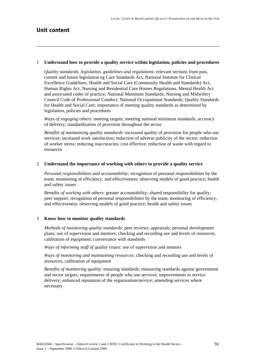#### 1 **Understand how to provide a quality service within legislation, policies and procedures**

*Quality standards, legislation, guidelines and regulations*: relevant sections from past, current and future legislation eg Care Standards Act, National Institute for Clinical Excellence Guidelines, Health and Social Care (Community Health and Standards) Act, Human Rights Act, Nursing and Residential Care Homes Regulations, Mental Health Act and associated codes of practice; National Minimum Standards; Nursing and Midwifery Council Code of Professional Conduct; National Occupational Standards; Quality Standards for Health and Social Care; importance of meeting quality standards as determined by legislation, policies and procedures

*Ways of engaging others*: meeting targets; meeting national minimum standards; accuracy of delivery; standardisation of provision throughout the sector

*Benefits of maintaining quality standards*: increased quality of provision for people who use services; increased work satisfaction; reduction of adverse publicity of the sector; reduction of worker stress; reducing inaccuracies; cost effective; reduction of waste with regard to resources

### 2 **Understand the importance of working with others to provide a quality service**

*Personal responsibilities and accountability*: recognition of personal responsibilities by the team; monitoring of efficiency, and effectiveness; observing models of good practice; health and safety issues

*Benefits of working with others*: greater accountability; shared responsibility for quality; peer support; recognition of personal responsibilities by the team; monitoring of efficiency, and effectiveness; observing models of good practice; health and safety issues

# 3 **Know how to monitor quality standards**

*Methods of monitoring quality standards*: peer reviews; appraisals; personal development plans; use of supervision and mentors; checking and recording use and levels of resources; calibration of equipment; conversance with standards

*Ways of informing staff of quality issues*: use of supervision and mentors

*Ways of monitoring and maintaining resources*: checking and recording use and levels of resources; calibration of equipment

*Benefits of monitoring quality*: ensuring standards; measuring standards against government and sector targets; requirements of people who use services; improvements in service delivery; enhanced reputation of the organisation/service; amending services where necessary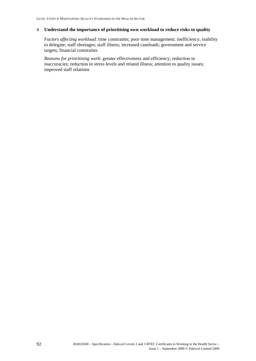# 4 **Understand the importance of prioritising own workload to reduce risks to quality**

*Factors affecting workload*: time constraints; poor time management; inefficiency; inability to delegate; staff shortages; staff illness; increased caseloads; government and service targets; financial constraints

*Reasons for prioritising work*: greater effectiveness and efficiency; reduction in inaccuracies; reduction in stress levels and related illness; attention to quality issues; improved staff relations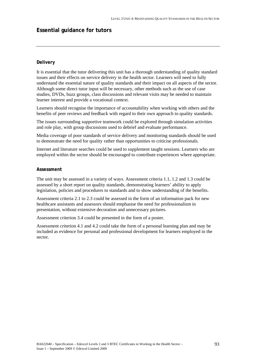# **Essential guidance for tutors**

# **Delivery**

It is essential that the tutor delivering this unit has a thorough understanding of quality standard issues and their effects on service delivery in the health sector. Learners will need to fully understand the essential nature of quality standards and their impact on all aspects of the sector. Although some direct tutor input will be necessary, other methods such as the use of case studies, DVDs, buzz groups, class discussions and relevant visits may be needed to maintain learner interest and provide a vocational context.

Learners should recognise the importance of accountability when working with others and the benefits of peer reviews and feedback with regard to their own approach to quality standards.

The issues surrounding supportive teamwork could be explored through simulation activities and role play, with group discussions used to debrief and evaluate performance.

Media coverage of poor standards of service delivery and monitoring standards should be used to demonstrate the need for quality rather than opportunities to criticise professionals.

Internet and literature searches could be used to supplement taught sessions. Learners who are employed within the sector should be encouraged to contribute experiences where appropriate.

#### **Assessment**

The unit may be assessed in a variety of ways. Assessment criteria 1.1, 1.2 and 1.3 could be assessed by a short report on quality standards, demonstrating learners' ability to apply legislation, policies and procedures to standards and to show understanding of the benefits.

Assessment criteria 2.1 to 2.3 could be assessed in the form of an information pack for new healthcare assistants and assessors should emphasise the need for professionalism in presentation, without extensive decoration and unnecessary pictures.

Assessment criterion 3.4 could be presented in the form of a poster.

Assessment criterion 4.1 and 4.2 could take the form of a personal learning plan and may be included as evidence for personal and professional development for learners employed in the sector.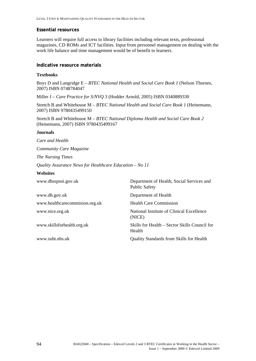# **Essential resources**

Learners will require full access to library facilities including relevant texts, professional magazines, CD ROMs and ICT facilities. Input from personnel management on dealing with the work life balance and time management would be of benefit to learners.

### **Indicative resource materials**

### **Textbooks**

Boys D and Langridge E – *BTEC National Health and Social Care Book 1* (Nelson Thornes, 2007) ISBN 0748784047

Miller J – *Care Practice for S/NVQ 3* (Hodder Arnold, 2005) ISBN 0340889330

Stretch B and Whitehouse M – *BTEC National Health and Social Care Book 1* (Heinemann, 2007) ISBN 9780435499150

Stretch B and Whitehouse M – *BTEC National Diploma Health and Social Care Book 2* (Heinemann, 2007) ISBN 9780435499167

#### **Journals**

*Care and Health* 

*Community Care Magazine* 

*The Nursing Times* 

*Quality Assurance News for Healthcare Education – No 11* 

#### **Websites**

| www.dhsspsni.gov.uk            | Department of Health, Social Services and<br><b>Public Safety</b> |
|--------------------------------|-------------------------------------------------------------------|
| www.dh.gov.uk                  | Department of Health                                              |
| www.healthcarecommision.org.uk | <b>Health Care Commission</b>                                     |
| www.nice.org.uk                | National Institute of Clinical Excellence<br>(NICE)               |
| www.skillsforhealth.org.uk     | Skills for Health – Sector Skills Council for<br>Health           |
| www.suht.nhs.uk                | <b>Quality Standards from Skills for Health</b>                   |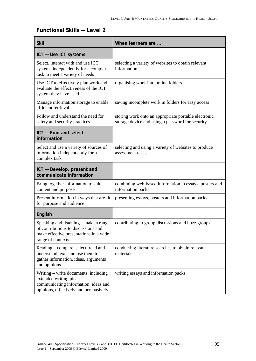# **Functional Skills — Level 2**

| <b>Skill</b>                                                                                                                                       | When learners are                                                                                        |
|----------------------------------------------------------------------------------------------------------------------------------------------------|----------------------------------------------------------------------------------------------------------|
| ICT - Use ICT systems                                                                                                                              |                                                                                                          |
| Select, interact with and use ICT<br>systems independently for a complex<br>task to meet a variety of needs                                        | selecting a variety of websites to obtain relevant<br>information                                        |
| Use ICT to effectively plan work and<br>evaluate the effectiveness of the ICT<br>system they have used                                             | organising work into online folders                                                                      |
| Manage information storage to enable<br>efficient retrieval                                                                                        | saving incomplete work in folders for easy access                                                        |
| Follow and understand the need for<br>safety and security practices                                                                                | storing work onto an appropriate portable electronic<br>storage device and using a password for security |
| ICT - Find and select<br>information                                                                                                               |                                                                                                          |
| Select and use a variety of sources of<br>information independently for a<br>complex task                                                          | selecting and using a variety of websites to produce<br>assessment tasks                                 |
| ICT - Develop, present and<br>communicate information                                                                                              |                                                                                                          |
| Bring together information to suit<br>content and purpose                                                                                          | combining web-based information in essays, posters and<br>information packs                              |
| Present information in ways that are fit<br>for purpose and audience                                                                               | presenting essays, posters and information packs                                                         |
| English                                                                                                                                            |                                                                                                          |
| Speaking and listening – make a range<br>of contributions to discussions and<br>make effective presentations in a wide<br>range of contexts        | contributing to group discussions and buzz groups                                                        |
| Reading – compare, select, read and<br>understand texts and use them to<br>gather information, ideas, arguments<br>and opinions                    | conducting literature searches to obtain relevant<br>materials                                           |
| Writing – write documents, including<br>extended writing pieces,<br>communicating information, ideas and<br>opinions, effectively and persuasively | writing essays and information packs.                                                                    |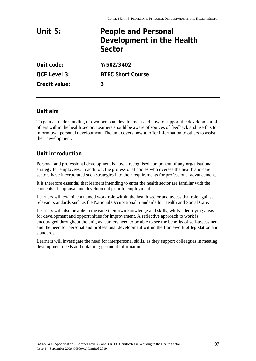| Unit $5:$           | <b>People and Personal</b><br>Development in the Health<br>Sector |
|---------------------|-------------------------------------------------------------------|
| Unit code:          | Y/502/3402                                                        |
| <b>QCF Level 3:</b> | <b>BTEC Short Course</b>                                          |
| Credit value:       | 3                                                                 |

# **Unit aim**

To gain an understanding of own personal development and how to support the development of others within the health sector. Learners should be aware of sources of feedback and use this to inform own personal development. The unit covers how to offer information to others to assist their development.

# **Unit introduction**

Personal and professional development is now a recognised component of any organisational strategy for employees. In addition, the professional bodies who oversee the health and care sectors have incorporated such strategies into their requirements for professional advancement.

It is therefore essential that learners intending to enter the health sector are familiar with the concepts of appraisal and development prior to employment.

Learners will examine a named work role within the health sector and assess that role against relevant standards such as the National Occupational Standards for Health and Social Care.

Learners will also be able to measure their own knowledge and skills, whilst identifying areas for development and opportunities for improvement. A reflective approach to work is encouraged throughout the unit, as learners need to be able to see the benefits of self-assessment and the need for personal and professional development within the framework of legislation and standards.

Learners will investigate the need for interpersonal skills, as they support colleagues in meeting development needs and obtaining pertinent information.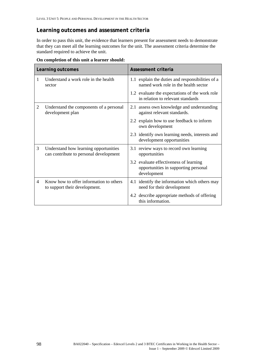# **Learning outcomes and assessment criteria**

In order to pass this unit, the evidence that learners present for assessment needs to demonstrate that they can meet all the learning outcomes for the unit. The assessment criteria determine the standard required to achieve the unit.

|   | Learning outcomes                                                               | Assessment criteria                                                                           |
|---|---------------------------------------------------------------------------------|-----------------------------------------------------------------------------------------------|
| 1 | Understand a work role in the health<br>sector                                  | 1.1 explain the duties and responsibilities of a<br>named work role in the health sector      |
|   |                                                                                 | 1.2 evaluate the expectations of the work role<br>in relation to relevant standards           |
| 2 | Understand the components of a personal<br>development plan                     | 2.1 assess own knowledge and understanding<br>against relevant standards.                     |
|   |                                                                                 | 2.2 explain how to use feedback to inform<br>own development                                  |
|   |                                                                                 | 2.3 identify own learning needs, interests and<br>development opportunities                   |
| 3 | Understand how learning opportunities<br>can contribute to personal development | 3.1 review ways to record own learning<br>opportunities                                       |
|   |                                                                                 | 3.2 evaluate effectiveness of learning<br>opportunities in supporting personal<br>development |
| 4 | Know how to offer information to others<br>to support their development.        | 4.1 identify the information which others may<br>need for their development                   |
|   |                                                                                 | 4.2 describe appropriate methods of offering<br>this information.                             |

**On completion of this unit a learner should:**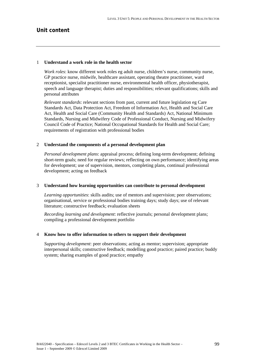# **Unit content**

#### 1 **Understand a work role in the health sector**

*Work roles*: know different work roles eg adult nurse, children's nurse, community nurse, GP practice nurse, midwife, healthcare assistant, operating theatre practitioner, ward receptionist, specialist practitioner nurse, environmental health officer, physiotherapist, speech and language therapist; duties and responsibilities; relevant qualifications; skills and personal attributes

*Relevant standards*: relevant sections from past, current and future legislation eg Care Standards Act, Data Protection Act, Freedom of Information Act, Health and Social Care Act, Health and Social Care (Community Health and Standards) Act, National Minimum Standards, Nursing and Midwifery Code of Professional Conduct, Nursing and Midwifery Council Code of Practice; National Occupational Standards for Health and Social Care; requirements of registration with professional bodies

# 2 **Understand the components of a personal development plan**

*Personal development plans*: appraisal process; defining long-term development; defining short-term goals; need for regular reviews; reflecting on own performance; identifying areas for development; use of supervision, mentors, completing plans, continual professional development; acting on feedback

#### 3 **Understand how learning opportunities can contribute to personal development**

*Learning opportunities*: skills audits; use of mentors and supervision; peer observations; organisational, service or professional bodies training days; study days; use of relevant literature; constructive feedback; evaluation sheets

*Recording learning and development*: reflective journals; personal development plans; compiling a professional development portfolio

#### 4 **Know how to offer information to others to support their development**

*Supporting development*: peer observations; acting as mentor; supervision; appropriate interpersonal skills; constructive feedback; modelling good practice; paired practice; buddy system; sharing examples of good practice; empathy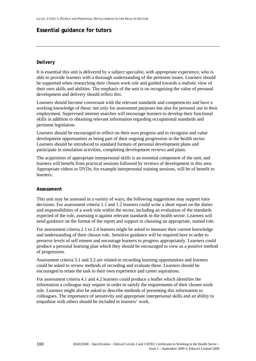# **Essential guidance for tutors**

# **Delivery**

It is essential this unit is delivered by a subject specialist, with appropriate experience, who is able to provide learners with a thorough understanding of the pertinent issues. Learners should be supported when researching their chosen work role and guided towards a realistic view of their own skills and abilities. The emphasis of the unit is on recognising the value of personal development and delivery should reflect this.

Learners should become conversant with the relevant standards and competencies and have a working knowledge of these; not only for assessment purposes but also for personal use in their employment. Supervised internet searches will encourage learners to develop their functional skills in addition to obtaining relevant information regarding occupational standards and pertinent legislation.

Learners should be encouraged to reflect on their own progress and to recognise and value development opportunities as being part of their ongoing progression in the health sector. Learners should be introduced to standard formats of personal development plans and participate in simulation activities, completing development reviews and plans.

The acquisition of appropriate interpersonal skills is an essential component of the unit, and learners will benefit from practical sessions followed by reviews of development in this area. Appropriate videos or DVDs, for example interpersonal training sessions, will be of benefit to learners.

# **Assessment**

This unit may be assessed in a variety of ways, the following suggestions may support tutor decisions. For assessment criteria 1.1 and 1.2 learners could write a short report on the duties and responsibilities of a work role within the sector, including an evaluation of the standards expected of the role, assessing it against relevant standards in the health sector. Learners will need guidance on the format of the report and support in choosing an appropriate, named role.

For assessment criteria 2.1 to 2.4 learners might be asked to measure their current knowledge and understanding of their chosen role. Sensitive guidance will be required here in order to preserve levels of self esteem and encourage learners to progress appropriately. Learners could produce a personal learning plan which they should be encouraged to view as a positive method of progression.

Assessment criteria 3.1 and 3.2 are related to recording learning opportunities and learners could be asked to review methods of recording and evaluate these. Learners should be encouraged to relate the task to their own experience and career aspirations.

For assessment criteria 4.1 and 4.2 learners could produce a leaflet which identifies the information a colleague may require in order to satisfy the requirements of their chosen work role. Learners might also be asked to describe methods of presenting this information to colleagues. The importance of sensitivity and appropriate interpersonal skills and an ability to empathise with others should be included in learners' work.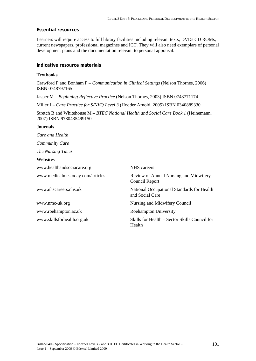# **Essential resources**

Learners will require access to full library facilities including relevant texts, DVDs CD ROMs, current newspapers, professional magazines and ICT. They will also need exemplars of personal development plans and the documentation relevant to personal appraisal.

### **Indicative resource materials**

### **Textbooks**

Crawford P and Bonham P – *Communication in Clinical Settings* (Nelson Thornes, 2006) ISBN 0748797165

Jasper M – *Beginning Reflective Practice* (Nelson Thornes, 2003) ISBN 0748771174

Miller J – *Care Practice for S/NVQ Level 3* (Hodder Arnold, 2005) ISBN 0340889330

Stretch B and Whitehouse M – *BTEC National Health and Social Care Book 1* (Heinemann, 2007) ISBN 9780435499150

# **Journals**

*Care and Health* 

*Community Care* 

*The Nursing Times* 

### **Websites**

| www.healthandsociacare.org       | <b>NHS</b> careers                                            |
|----------------------------------|---------------------------------------------------------------|
| www.medicalmestoday.com/articles | Review of Annual Nursing and Midwifery<br>Council Report      |
| www.nhscareers.nhs.uk            | National Occupational Standards for Health<br>and Social Care |
| www.nmc-uk.org                   | Nursing and Midwifery Council                                 |
| www.roehampton.ac.uk             | Roehampton University                                         |
| www.skillsforhealth.org.uk       | Skills for Health – Sector Skills Council for<br>Health       |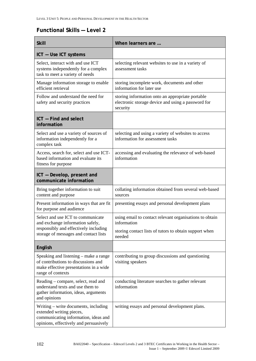# **Functional Skills — Level 2**

| <b>Skill</b>                                                                                                                                       | When learners are                                                                                                  |
|----------------------------------------------------------------------------------------------------------------------------------------------------|--------------------------------------------------------------------------------------------------------------------|
| ICT - Use ICT systems                                                                                                                              |                                                                                                                    |
| Select, interact with and use ICT<br>systems independently for a complex<br>task to meet a variety of needs                                        | selecting relevant websites to use in a variety of<br>assessment tasks                                             |
| Manage information storage to enable<br>efficient retrieval                                                                                        | storing incomplete work, documents and other<br>information for later use                                          |
| Follow and understand the need for<br>safety and security practices                                                                                | storing information onto an appropriate portable<br>electronic storage device and using a password for<br>security |
| ICT - Find and select<br>information                                                                                                               |                                                                                                                    |
| Select and use a variety of sources of<br>information independently for a<br>complex task                                                          | selecting and using a variety of websites to access<br>information for assessment tasks                            |
| Access, search for, select and use ICT-<br>based information and evaluate its<br>fitness for purpose                                               | accessing and evaluating the relevance of web-based<br>information                                                 |
| ICT - Develop, present and<br>communicate information                                                                                              |                                                                                                                    |
| Bring together information to suit<br>content and purpose                                                                                          | collating information obtained from several web-based<br>sources                                                   |
| Present information in ways that are fit<br>for purpose and audience                                                                               | presenting essays and personal development plans                                                                   |
| Select and use ICT to communicate<br>and exchange information safely,                                                                              | using email to contact relevant organisations to obtain<br>information                                             |
| responsibly and effectively including<br>storage of messages and contact lists                                                                     | storing contact lists of tutors to obtain support when<br>needed                                                   |
| English                                                                                                                                            |                                                                                                                    |
| Speaking and listening – make a range<br>of contributions to discussions and<br>make effective presentations in a wide<br>range of contexts        | contributing to group discussions and questioning<br>visiting speakers                                             |
| Reading – compare, select, read and<br>understand texts and use them to<br>gather information, ideas, arguments<br>and opinions                    | conducting literature searches to gather relevant<br>information                                                   |
| Writing – write documents, including<br>extended writing pieces,<br>communicating information, ideas and<br>opinions, effectively and persuasively | writing essays and personal development plans.                                                                     |

102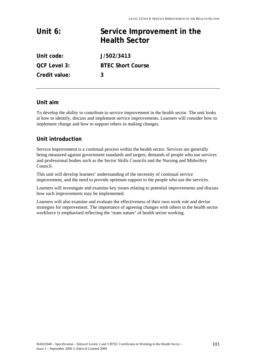# Unit 6: Service Improvement in the **Health Sector**

**Unit code: J/502/3413 QCF Level 3: BTEC Short Course Credit value: 3** 

### **Unit aim**

To develop the ability to contribute to service improvement in the health sector. The unit looks at how to identify, discuss and implement service improvements. Learners will consider how to implement change and how to support others in making changes.

## **Unit introduction**

Service improvement is a continual process within the health sector. Services are generally being measured against government standards and targets, demands of people who use services and professional bodies such as the Sector Skills Councils and the Nursing and Midwifery Council.

This unit will develop learners' understanding of the necessity of continual service improvement, and the need to provide optimum support to the people who use the services.

Learners will investigate and examine key issues relating to potential improvements and discuss how such improvements may be implemented.

Learners will also examine and evaluate the effectiveness of their own work role and devise strategies for improvement. The importance of agreeing changes with others in the health sector workforce is emphasised reflecting the 'team nature' of health sector working.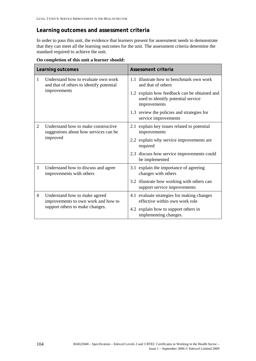## **Learning outcomes and assessment criteria**

In order to pass this unit, the evidence that learners present for assessment needs to demonstrate that they can meet all the learning outcomes for the unit. The assessment criteria determine the standard required to achieve the unit.

|   | Learning outcomes                                                               | Assessment criteria                                                                                |  |  |  |  |  |  |
|---|---------------------------------------------------------------------------------|----------------------------------------------------------------------------------------------------|--|--|--|--|--|--|
| 1 | Understand how to evaluate own work<br>and that of others to identify potential | 1.1 illustrate how to benchmark own work<br>and that of others                                     |  |  |  |  |  |  |
|   | improvements                                                                    | 1.2 explain how feedback can be obtained and<br>used to identify potential service<br>improvements |  |  |  |  |  |  |
|   |                                                                                 | 1.3 review the policies and strategies for<br>service improvements                                 |  |  |  |  |  |  |
| 2 | Understand how to make constructive<br>suggestions about how services can be    | 2.1 explain key issues related to potential<br>improvements                                        |  |  |  |  |  |  |
|   | improved                                                                        | 2.2 explain why service improvements are<br>required                                               |  |  |  |  |  |  |
|   |                                                                                 | 2.3 discuss how service improvements could<br>be implemented                                       |  |  |  |  |  |  |
| 3 | Understand how to discuss and agree<br>improvements with others                 | 3.1 explain the importance of agreeing<br>changes with others                                      |  |  |  |  |  |  |
|   |                                                                                 | 3.2 illustrate how working with others can<br>support service improvements                         |  |  |  |  |  |  |
| 4 | Understand how to make agreed<br>improvements to own work and how to            | 4.1 evaluate strategies for making changes<br>effective within own work role                       |  |  |  |  |  |  |
|   | support others to make changes.                                                 | 4.2 explain how to support others in<br>implementing changes.                                      |  |  |  |  |  |  |

**On completion of this unit a learner should:**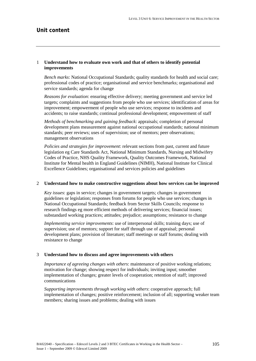### **Unit content**

### 1 **Understand how to evaluate own work and that of others to identify potential improvements**

*Bench marks*: National Occupational Standards; quality standards for health and social care; professional codes of practice; organisational and service benchmarks; organisational and service standards; agenda for change

*Reasons for evaluation*: ensuring effective delivery; meeting government and service led targets; complaints and suggestions from people who use services; identification of areas for improvement; empowerment of people who use services; response to incidents and accidents; to raise standards; continual professional development; empowerment of staff

*Methods of benchmarking and gaining feedback*: appraisals; completion of personal development plans measurement against national occupational standards; national minimum standards; peer reviews; uses of supervision; use of mentors; peer observations; management observations

*Policies and strategies for improvement*: relevant sections from past, current and future legislation eg Care Standards Act, National Minimum Standards, Nursing and Midwifery Codes of Practice, NHS Quality Framework, Quality Outcomes Framework, National Institute for Mental health in England Guidelines (NIMH), National Institute for Clinical Excellence Guidelines; organisational and services policies and guidelines

#### 2 **Understand how to make constructive suggestions about how services can be improved**

*Key issues*: gaps in service; changes in government targets; changes in government guidelines or legislation; responses from forums for people who use services; changes in National Occupational Standards; feedback from Sector Skills Councils; response to research findings eg more efficient methods of delivering services; financial issues; substandard working practices; attitudes; prejudice; assumptions; resistance to change

*Implementing service improvements*: use of interpersonal skills; training days; use of supervision; use of mentors; support for staff through use of appraisal; personal development plans; provision of literature; staff meetings or staff forums; dealing with resistance to change

#### 3 **Understand how to discuss and agree improvements with others**

*Importance of agreeing changes with others*: maintenance of positive working relations; motivation for change; showing respect for individuals; inviting input; smoother implementation of changes; greater levels of cooperation; retention of staff; improved communications

*Supporting improvements through working with others*: cooperative approach; full implementation of changes; positive reinforcement; inclusion of all; supporting weaker team members; sharing issues and problems; dealing with issues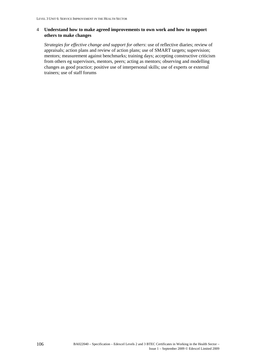### 4 **Understand how to make agreed improvements to own work and how to support others to make changes**

*Strategies for effective change and support for others*: use of reflective diaries; review of appraisals; action plans and review of action plans; use of SMART targets; supervision; mentors; measurement against benchmarks; training days; accepting constructive criticism from others eg supervisors, mentors, peers; acting as mentors; observing and modelling changes as good practice; positive use of interpersonal skills; use of experts or external trainers; use of staff forums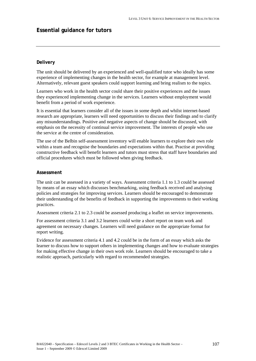### **Essential guidance for tutors**

### **Delivery**

The unit should be delivered by an experienced and well-qualified tutor who ideally has some experience of implementing changes in the health sector, for example at management level. Alternatively, relevant guest speakers could support learning and bring realism to the topics.

Learners who work in the health sector could share their positive experiences and the issues they experienced implementing change in the services. Learners without employment would benefit from a period of work experience.

It is essential that learners consider all of the issues in some depth and whilst internet-based research are appropriate, learners will need opportunities to discuss their findings and to clarify any misunderstandings. Positive and negative aspects of change should be discussed, with emphasis on the necessity of continual service improvement. The interests of people who use the service at the centre of consideration.

The use of the Belbin self-assessment inventory will enable learners to explore their own role within a team and recognise the boundaries and expectations within that. Practise at providing constructive feedback will benefit learners and tutors must stress that staff have boundaries and official procedures which must be followed when giving feedback.

#### **Assessment**

The unit can be assessed in a variety of ways. Assessment criteria 1.1 to 1.3 could be assessed by means of an essay which discusses benchmarking, using feedback received and analysing policies and strategies for improving services. Learners should be encouraged to demonstrate their understanding of the benefits of feedback in supporting the improvements to their working practices.

Assessment criteria 2.1 to 2.3 could be assessed producing a leaflet on service improvements.

For assessment criteria 3.1 and 3.2 learners could write a short report on team work and agreement on necessary changes. Learners will need guidance on the appropriate format for report writing.

Evidence for assessment criteria 4.1 and 4.2 could be in the form of an essay which asks the learner to discuss how to support others in implementing changes and how to evaluate strategies for making effective change in their own work role. Learners should be encouraged to take a realistic approach, particularly with regard to recommended strategies.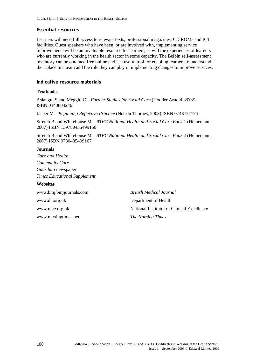#### **Essential resources**

Learners will need full access to relevant texts, professional magazines, CD ROMs and ICT facilities. Guest speakers who have been, or are involved with, implementing service improvements will be an invaluable resource for learners, as will the experiences of learners who are currently working in the health sector in some capacity. The Belbin self-assessment inventory can be obtained free online and is a useful tool for enabling learners to understand their place in a team and the role they can play in implementing changes to improve services.

### **Indicative resource materials**

#### **Textbooks**

Aslangul S and Meggitt C – *Further Studies for Social Care* (Hodder Arnold, 2002) ISBN 0340804246

Jasper M – *Beginning Reflective Practice* (Nelson Thornes, 2003) ISBN 0748771174

Stretch B and Whitehouse M – *BTEC National Health and Social Care Book 1* (Heinemann, 2007) ISBN 139780435499150

Stretch B and Whitehouse M – *BTEC National Health and Social Care Book 2* (Heinemann, 2007) ISBN 9780435499167

#### **Journals**

*Care and Health Community Care Guardian* newspaper *Times Educational Supplement* 

#### **Websites**

www.bmj.bmjjournals.com *British Medical Journal*  www.dh.org.uk Department of Health www.nursingtimes.net *The Nursing Times* 

www.nice.org.uk National Institute for Clinical Excellence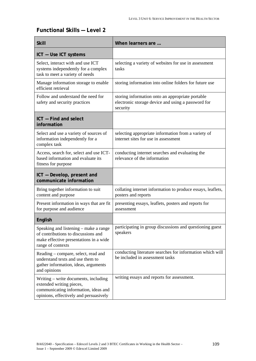# **Functional Skills — Level 2**

| <b>Skill</b>                                                                                                                                | When learners are                                                                                                  |
|---------------------------------------------------------------------------------------------------------------------------------------------|--------------------------------------------------------------------------------------------------------------------|
| ICT - Use ICT systems                                                                                                                       |                                                                                                                    |
| Select, interact with and use ICT<br>systems independently for a complex<br>task to meet a variety of needs                                 | selecting a variety of websites for use in assessment<br>tasks                                                     |
| Manage information storage to enable<br>efficient retrieval                                                                                 | storing information into online folders for future use                                                             |
| Follow and understand the need for<br>safety and security practices                                                                         | storing information onto an appropriate portable<br>electronic storage device and using a password for<br>security |
| ICT - Find and select<br>information                                                                                                        |                                                                                                                    |
| Select and use a variety of sources of<br>information independently for a<br>complex task                                                   | selecting appropriate information from a variety of<br>internet sites for use in assessment                        |
| Access, search for, select and use ICT-<br>based information and evaluate its<br>fitness for purpose                                        | conducting internet searches and evaluating the<br>relevance of the information                                    |
| ICT - Develop, present and<br>communicate information                                                                                       |                                                                                                                    |
| Bring together information to suit<br>content and purpose                                                                                   | collating internet information to produce essays, leaflets,<br>posters and reports                                 |
| Present information in ways that are fit<br>for purpose and audience                                                                        | presenting essays, leaflets, posters and reports for<br>assessment                                                 |
| English                                                                                                                                     |                                                                                                                    |
| Speaking and listening – make a range<br>of contributions to discussions and<br>make effective presentations in a wide<br>range of contexts | participating in group discussions and questioning guest<br>speakers                                               |
| Reading - compare, select, read and<br>understand texts and use them to<br>gather information, ideas, arguments<br>and opinions             | conducting literature searches for information which will<br>be included in assessment tasks                       |
| Writing – write documents, including<br>extended writing pieces,<br>communicating information, ideas and                                    | writing essays and reports for assessment.                                                                         |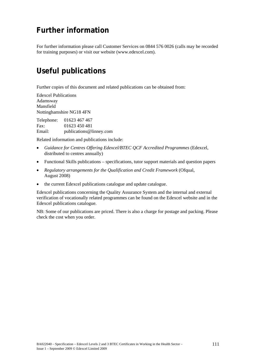# **Further information**

For further information please call Customer Services on 0844 576 0026 (calls may be recorded for training purposes) or visit our website [\(www.edexcel.com](http://www.edexcel.com/)).

# **Useful publications**

Further copies of this document and related publications can be obtained from:

Edexcel Publications Adamsway Mansfield Nottinghamshire NG18 4FN

Telephone: 01623 467 467 Fax: 01623 450 481 Email: publications@linney.com

Related information and publications include:

- *Guidance for Centres Offering Edexcel/BTEC QCF Accredited Programmes* (Edexcel, distributed to centres annually)
- Functional Skills publications specifications, tutor support materials and question papers
- *Regulatory arrangements for the Qualification and Credit Framework* (Ofqual, August 2008)
- the current Edexcel publications catalogue and update catalogue.

Edexcel publications concerning the Quality Assurance System and the internal and external verification of vocationally related programmes can be found on the Edexcel website and in the Edexcel publications catalogue.

NB: Some of our publications are priced. There is also a charge for postage and packing. Please check the cost when you order.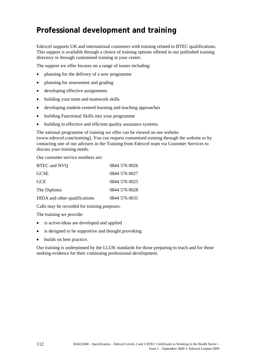# **Professional development and training**

Edexcel supports UK and international customers with training related to BTEC qualifications. This support is available through a choice of training options offered in our published training directory or through customised training at your centre.

The support we offer focuses on a range of issues including:

- planning for the delivery of a new programme
- planning for assessment and grading
- developing effective assignments
- building your team and teamwork skills
- developing student-centred learning and teaching approaches
- building Functional Skills into your programme
- building in effective and efficient quality assurance systems.

The national programme of training we offer can be viewed on our website ([www.edexcel.com/training\)](http://www.edexcel.com/resources/training/Pages/home.aspx). You can request customised training through the website or by contacting one of our advisers in the Training from Edexcel team via Customer Services to discuss your training needs.

Our customer service numbers are:

| BTEC and NVQ                  | 0844 576 0026 |
|-------------------------------|---------------|
| <b>GCSE</b>                   | 0844 576 0027 |
| <b>GCE</b>                    | 0844 576 0025 |
| The Diploma                   | 0844 576 0028 |
| DIDA and other qualifications | 0844 576 0031 |

Calls may be recorded for training purposes.

The training we provide:

- is active-ideas are developed and applied
- is designed to be supportive and thought provoking
- builds on best practice.

Our training is underpinned by the LLUK standards for those preparing to teach and for those seeking evidence for their continuing professional development.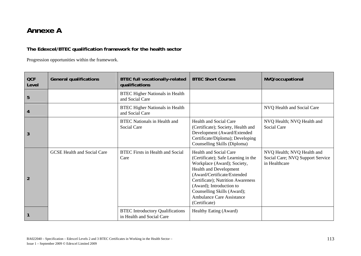# **Annexe A**

## **The Edexcel/BTEC qualification framework for the health sector**

Progression opportunities within the framework.

| <b>QCF</b><br>Level | <b>General qualifications</b>      | <b>BTEC full vocationally-related</b><br>qualifications              | <b>BTEC Short Courses</b>                                                                                                                                                                                                                                                                                                | NVQ/occupational                                                                |
|---------------------|------------------------------------|----------------------------------------------------------------------|--------------------------------------------------------------------------------------------------------------------------------------------------------------------------------------------------------------------------------------------------------------------------------------------------------------------------|---------------------------------------------------------------------------------|
| 5                   |                                    | <b>BTEC Higher Nationals in Health</b><br>and Social Care            |                                                                                                                                                                                                                                                                                                                          |                                                                                 |
| $\overline{4}$      |                                    | <b>BTEC Higher Nationals in Health</b><br>and Social Care            |                                                                                                                                                                                                                                                                                                                          | NVQ Health and Social Care                                                      |
| 3                   |                                    | <b>BTEC</b> Nationals in Health and<br>Social Care                   | <b>Health and Social Care</b><br>(Certificate); Society, Health and<br>Development (Award/Extended<br>Certificate/Diploma); Developing<br>Counselling Skills (Diploma)                                                                                                                                                   | NVQ Health; NVQ Health and<br>Social Care                                       |
| $\overline{2}$      | <b>GCSE Health and Social Care</b> | <b>BTEC</b> Firsts in Health and Social<br>Care                      | <b>Health and Social Care</b><br>(Certificate); Safe Learning in the<br>Workplace (Award); Society,<br><b>Health and Development</b><br>(Award/Certificate/Extended<br>Certificate); Nutrition Awareness<br>(Award); Introduction to<br>Counselling Skills (Award);<br><b>Ambulance Care Assistance</b><br>(Certificate) | NVQ Health; NVQ Health and<br>Social Care; NVQ Support Service<br>in Healthcare |
|                     |                                    | <b>BTEC Introductory Qualifications</b><br>in Health and Social Care | Healthy Eating (Award)                                                                                                                                                                                                                                                                                                   |                                                                                 |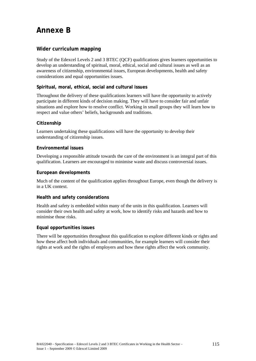# **Annexe B**

### **Wider curriculum mapping**

Study of the Edexcel Levels 2 and 3 BTEC (QCF) qualifications gives learners opportunities to develop an understanding of spiritual, moral, ethical, social and cultural issues as well as an awareness of citizenship, environmental issues, European developments, health and safety considerations and equal opportunities issues.

### **Spiritual, moral, ethical, social and cultural issues**

Throughout the delivery of these qualifications learners will have the opportunity to actively participate in different kinds of decision making. They will have to consider fair and unfair situations and explore how to resolve conflict. Working in small groups they will learn how to respect and value others' beliefs, backgrounds and traditions.

### **Citizenship**

Learners undertaking these qualifications will have the opportunity to develop their understanding of citizenship issues.

### **Environmental issues**

Developing a responsible attitude towards the care of the environment is an integral part of this qualification. Learners are encouraged to minimise waste and discuss controversial issues.

### **European developments**

Much of the content of the qualification applies throughout Europe, even though the delivery is in a UK context.

### **Health and safety considerations**

Health and safety is embedded within many of the units in this qualification. Learners will consider their own health and safety at work, how to identify risks and hazards and how to minimise those risks.

### **Equal opportunities issues**

There will be opportunities throughout this qualification to explore different kinds or rights and how these affect both individuals and communities, for example learners will consider their rights at work and the rights of employers and how these rights affect the work community.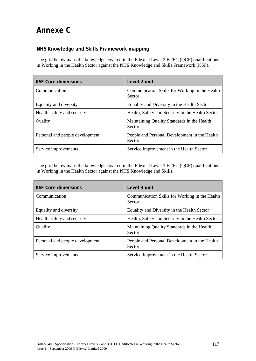# **Annexe C**

### **NHS Knowledge and Skills Framework mapping**

The grid below maps the knowledge covered in the Edexcel Level 2 BTEC (QCF) qualifications in Working in the Health Sector against the NHS Knowledge and Skills Framework (KSF).

| <b>KSF Core dimensions</b>      | Level 2 unit                                             |
|---------------------------------|----------------------------------------------------------|
| Communication                   | Communication Skills for Working in the Health<br>Sector |
| Equality and diversity          | Equality and Diversity in the Health Sector              |
| Health, safety and security     | Health, Safety and Security in the Health Sector         |
| Quality                         | Maintaining Quality Standards in the Health<br>Sector    |
| Personal and people development | People and Personal Development in the Health<br>Sector  |
| Service improvements            | Service Improvement in the Health Sector                 |

The grid below maps the knowledge covered in the Edexcel Level 3 BTEC (QCF) qualifications in Working in the Health Sector against the NHS Knowledge and Skills.

| <b>KSF Core dimensions</b>      | Level 3 unit                                             |
|---------------------------------|----------------------------------------------------------|
| Communication                   | Communication Skills for Working in the Health<br>Sector |
| Equality and diversity          | Equality and Diversity in the Health Sector              |
| Health, safety and security     | Health, Safety and Security in the Health Sector         |
| Quality                         | Maintaining Quality Standards in the Health<br>Sector    |
| Personal and people development | People and Personal Development in the Health<br>Sector  |
| Service improvements            | Service Improvement in the Health Sector                 |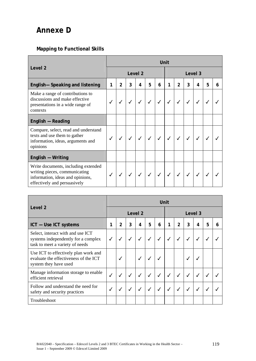# **Annexe D**

### **Mapping to Functional Skills**

| Level <sub>2</sub>                                                                                                                       |   | Unit                               |  |  |              |            |   |                |         |                |   |   |  |
|------------------------------------------------------------------------------------------------------------------------------------------|---|------------------------------------|--|--|--------------|------------|---|----------------|---------|----------------|---|---|--|
|                                                                                                                                          |   | Level <sub>2</sub>                 |  |  |              |            |   |                | Level 3 |                |   |   |  |
| English-Speaking and listening                                                                                                           | 1 | $\overline{2}$<br>3<br>5<br>6<br>4 |  |  |              |            | 1 | $\overline{2}$ | 3       | $\overline{4}$ | 5 | 6 |  |
| Make a range of contributions to<br>discussions and make effective<br>presentations in a wide range of<br>contexts                       |   |                                    |  |  |              |            |   |                |         |                |   |   |  |
| English - Reading                                                                                                                        |   |                                    |  |  |              |            |   |                |         |                |   |   |  |
| Compare, select, read and understand<br>texts and use them to gather<br>information, ideas, arguments and<br>opinions                    |   |                                    |  |  | $\checkmark$ |            |   |                |         |                |   |   |  |
| English - Writing                                                                                                                        |   |                                    |  |  |              |            |   |                |         |                |   |   |  |
| Write documents, including extended<br>writing pieces, communicating<br>information, ideas and opinions,<br>effectively and persuasively |   |                                    |  |  | $\checkmark$ | $\sqrt{2}$ |   |                |         |                |   |   |  |

| Level 2                                                                                                     |              | Unit                                            |  |                    |   |                    |              |                |   |   |   |  |  |
|-------------------------------------------------------------------------------------------------------------|--------------|-------------------------------------------------|--|--------------------|---|--------------------|--------------|----------------|---|---|---|--|--|
|                                                                                                             |              |                                                 |  | Level <sub>2</sub> |   | Level <sub>3</sub> |              |                |   |   |   |  |  |
| ICT - Use ICT systems                                                                                       | 1            | 3<br>$\overline{2}$<br>$\overline{4}$<br>5<br>6 |  |                    |   |                    |              | $\overline{2}$ | 3 | 4 | 5 |  |  |
| Select, interact with and use ICT<br>systems independently for a complex<br>task to meet a variety of needs |              |                                                 |  |                    |   |                    |              |                |   |   |   |  |  |
| Use ICT to effectively plan work and<br>evaluate the effectiveness of the ICT<br>system they have used      |              |                                                 |  |                    |   |                    |              |                |   |   |   |  |  |
| Manage information storage to enable<br>efficient retrieval                                                 | $\checkmark$ |                                                 |  |                    | ✓ | ✓                  | $\checkmark$ |                | ✓ |   |   |  |  |
| Follow and understand the need for<br>safety and security practices                                         |              | √                                               |  | √                  | √ | √                  | $\checkmark$ |                | ✓ |   |   |  |  |
| Troubleshoot                                                                                                |              |                                                 |  |                    |   |                    |              |                |   |   |   |  |  |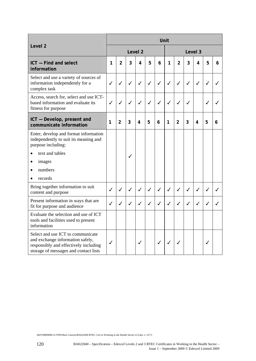|                                                                                                                                                         |                    | Unit           |              |              |              |              |              |                |              |              |              |   |  |
|---------------------------------------------------------------------------------------------------------------------------------------------------------|--------------------|----------------|--------------|--------------|--------------|--------------|--------------|----------------|--------------|--------------|--------------|---|--|
| Level <sub>2</sub>                                                                                                                                      | Level <sub>2</sub> |                |              |              |              |              |              | Level 3        |              |              |              |   |  |
| ICT - Find and select<br>information                                                                                                                    | 1                  | $\mathfrak{p}$ | 3            | 4            | 5            | 6            | 1            | $\mathcal{P}$  | 3            | 4            | 5            | 6 |  |
| Select and use a variety of sources of<br>information independently for a<br>complex task                                                               | $\checkmark$       | $\checkmark$   | $\checkmark$ | $\checkmark$ | $\checkmark$ | $\checkmark$ | $\checkmark$ | $\checkmark$   | $\checkmark$ | $\checkmark$ | $\checkmark$ | ✓ |  |
| Access, search for, select and use ICT-<br>based information and evaluate its<br>fitness for purpose                                                    | ✓                  | ✓              | ✓            | ✓            | $\checkmark$ | $\checkmark$ | $\checkmark$ | ✓              | ✓            |              | ✓            |   |  |
| ICT - Develop, present and<br>communicate information                                                                                                   | 1                  | $\mathfrak{p}$ | 3            | 4            | 5            | 6            | 1            | $\overline{2}$ | 3            | 4            | 5            | 6 |  |
| Enter, develop and format information<br>independently to suit its meaning and<br>purpose including:                                                    |                    |                |              |              |              |              |              |                |              |              |              |   |  |
| text and tables                                                                                                                                         |                    |                | ✓            |              |              |              |              |                |              |              |              |   |  |
| images<br>٠                                                                                                                                             |                    |                |              |              |              |              |              |                |              |              |              |   |  |
| numbers                                                                                                                                                 |                    |                |              |              |              |              |              |                |              |              |              |   |  |
| records                                                                                                                                                 |                    |                |              |              |              |              |              |                |              |              |              |   |  |
| Bring together information to suit<br>content and purpose                                                                                               | ✓                  | $\checkmark$   | $\checkmark$ | $\checkmark$ | $\checkmark$ | $\checkmark$ | $\checkmark$ | $\checkmark$   | $\checkmark$ | ✓            | ✓            | J |  |
| Present information in ways that are<br>fit for purpose and audience                                                                                    | J                  |                | $\cal{L}$    | ℐ            | ✓            | ✓            | $\checkmark$ | $\checkmark$   | J            | ℐ            |              |   |  |
| Evaluate the selection and use of ICT<br>tools and facilities used to present<br>information                                                            |                    |                |              |              |              |              |              |                |              |              |              |   |  |
| Select and use ICT to communicate<br>and exchange information safely,<br>responsibly and effectively including<br>storage of messages and contact lists | √                  |                |              | $\checkmark$ |              | ✓            | $\checkmark$ |                |              |              | $\checkmark$ |   |  |

2847rl080908S:\LT\PD\Short Courses\BA022040 BTEC Cert in Working in the Health Sector L23.doc.1–127/1